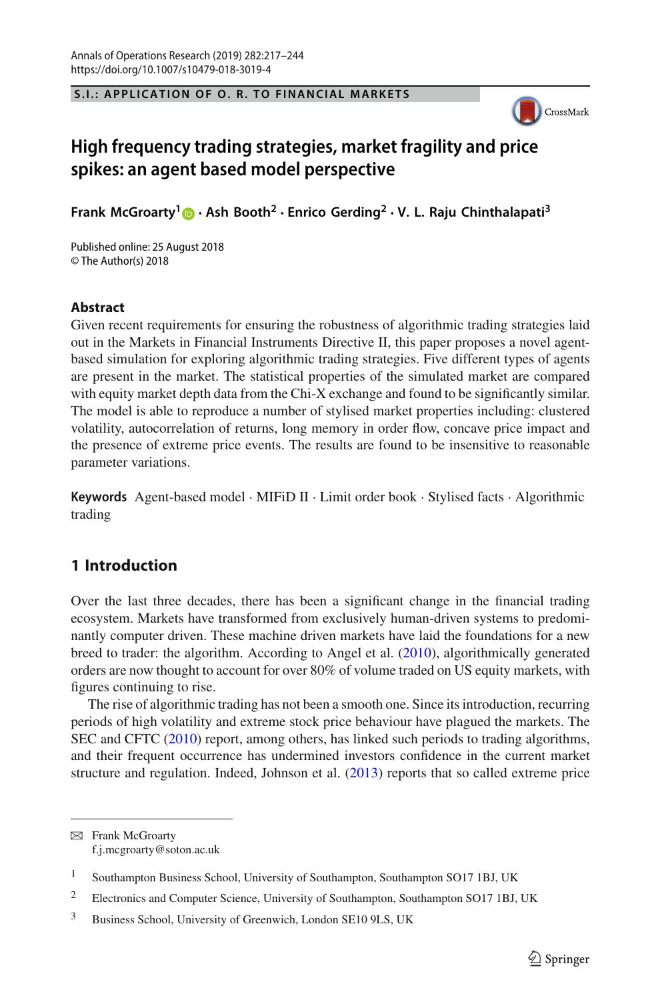### **S.I.: APPLICATION OF O. R. TO FINANCIAL MARKETS**



# **High frequency trading strategies, market fragility and price spikes: an agent based model perspective**

**Frank McGroarty[1](http://orcid.org/0000-0003-2962-0927) · Ash Booth<sup>2</sup> · Enrico Gerding<sup>2</sup> · V. L. Raju Chinthalapati<sup>3</sup>**

Published online: 25 August 2018 © The Author(s) 2018

## **Abstract**

Given recent requirements for ensuring the robustness of algorithmic trading strategies laid out in the Markets in Financial Instruments Directive II, this paper proposes a novel agentbased simulation for exploring algorithmic trading strategies. Five different types of agents are present in the market. The statistical properties of the simulated market are compared with equity market depth data from the Chi-X exchange and found to be significantly similar. The model is able to reproduce a number of stylised market properties including: clustered volatility, autocorrelation of returns, long memory in order flow, concave price impact and the presence of extreme price events. The results are found to be insensitive to reasonable parameter variations.

**Keywords** Agent-based model · MIFiD II · Limit order book · Stylised facts · Algorithmic trading

# **1 Introduction**

Over the last three decades, there has been a significant change in the financial trading ecosystem. Markets have transformed from exclusively human-driven systems to predominantly computer driven. These machine driven markets have laid the foundations for a new breed to trader: the algorithm. According to Angel et al[.](#page-25-0) [\(2010](#page-25-0)), algorithmically generated orders are now thought to account for over 80% of volume traded on US equity markets, with figures continuing to rise.

The rise of algorithmic trading has not been a smooth one. Since its introduction, recurring periods of high volatility and extreme stock price behaviour have plagued the markets. The SEC and CFTC [\(2010](#page-27-0)) report, among others, has linked such periods to trading algorithms, and their frequent occurrence has undermined investors confidence in the current market structure and regulation. Indeed, Johnson et al[.](#page-26-0) [\(2013\)](#page-26-0) reports that so called extreme price

B Frank McGroarty f.j.mcgroarty@soton.ac.uk

<sup>&</sup>lt;sup>1</sup> Southampton Business School, University of Southampton, Southampton SO17 1BJ, UK

<sup>&</sup>lt;sup>2</sup> Electronics and Computer Science, University of Southampton, Southampton SO17 1BJ, UK

<sup>3</sup> Business School, University of Greenwich, London SE10 9LS, UK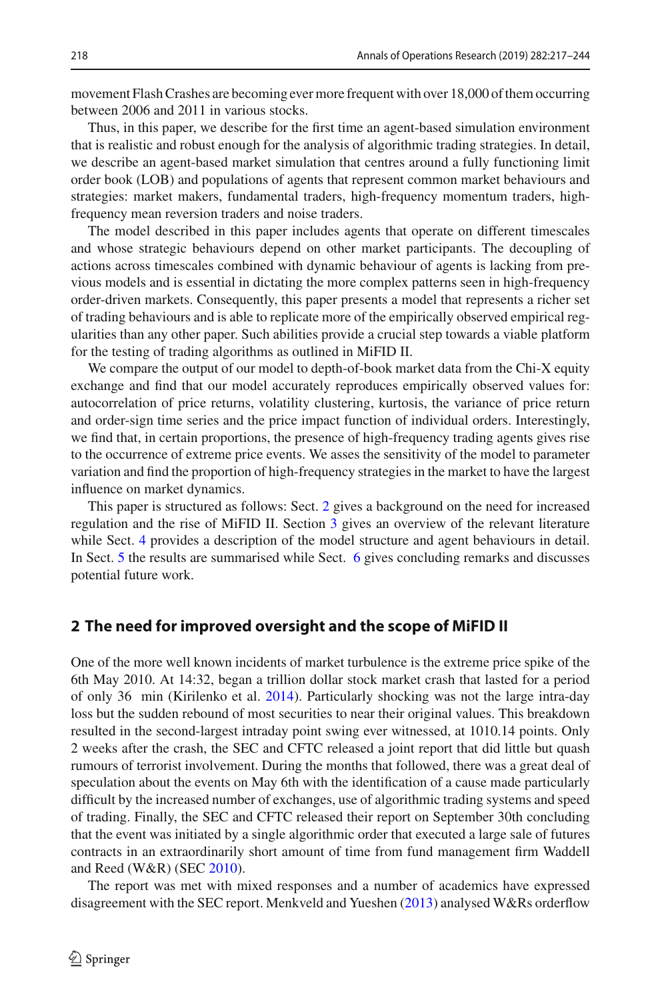movement Flash Crashes are becoming ever more frequent with over 18,000 of them occurring between 2006 and 2011 in various stocks.

Thus, in this paper, we describe for the first time an agent-based simulation environment that is realistic and robust enough for the analysis of algorithmic trading strategies. In detail, we describe an agent-based market simulation that centres around a fully functioning limit order book (LOB) and populations of agents that represent common market behaviours and strategies: market makers, fundamental traders, high-frequency momentum traders, highfrequency mean reversion traders and noise traders.

The model described in this paper includes agents that operate on different timescales and whose strategic behaviours depend on other market participants. The decoupling of actions across timescales combined with dynamic behaviour of agents is lacking from previous models and is essential in dictating the more complex patterns seen in high-frequency order-driven markets. Consequently, this paper presents a model that represents a richer set of trading behaviours and is able to replicate more of the empirically observed empirical regularities than any other paper. Such abilities provide a crucial step towards a viable platform for the testing of trading algorithms as outlined in MiFID II.

We compare the output of our model to depth-of-book market data from the Chi-X equity exchange and find that our model accurately reproduces empirically observed values for: autocorrelation of price returns, volatility clustering, kurtosis, the variance of price return and order-sign time series and the price impact function of individual orders. Interestingly, we find that, in certain proportions, the presence of high-frequency trading agents gives rise to the occurrence of extreme price events. We asses the sensitivity of the model to parameter variation and find the proportion of high-frequency strategies in the market to have the largest influence on market dynamics.

This paper is structured as follows: Sect. [2](#page-1-0) gives a background on the need for increased regulation and the rise of MiFID II. Section [3](#page-3-0) gives an overview of the relevant literature while Sect. [4](#page-8-0) provides a description of the model structure and agent behaviours in detail. In Sect. [5](#page-14-0) the results are summarised while Sect. [6](#page-24-0) gives concluding remarks and discusses potential future work.

### <span id="page-1-0"></span>**2 The need for improved oversight and the scope of MiFID II**

One of the more well known incidents of market turbulence is the extreme price spike of the 6th May 2010. At 14:32, began a trillion dollar stock market crash that lasted for a period of only 36 min (Kirilenko et al[.](#page-26-1) [2014\)](#page-26-1). Particularly shocking was not the large intra-day loss but the sudden rebound of most securities to near their original values. This breakdown resulted in the second-largest intraday point swing ever witnessed, at 1010.14 points. Only 2 weeks after the crash, the SEC and CFTC released a joint report that did little but quash rumours of terrorist involvement. During the months that followed, there was a great deal of speculation about the events on May 6th with the identification of a cause made particularly difficult by the increased number of exchanges, use of algorithmic trading systems and speed of trading. Finally, the SEC and CFTC released their report on September 30th concluding that the event was initiated by a single algorithmic order that executed a large sale of futures contracts in an extraordinarily short amount of time from fund management firm Waddell and Reed (W&R) (SE[C](#page-27-0) [2010](#page-27-0)).

The report was met with mixed responses and a number of academics have expressed disagreement with the SEC report. Menkveld and Yueshe[n](#page-27-1) [\(2013\)](#page-27-1) analysed W&Rs orderflow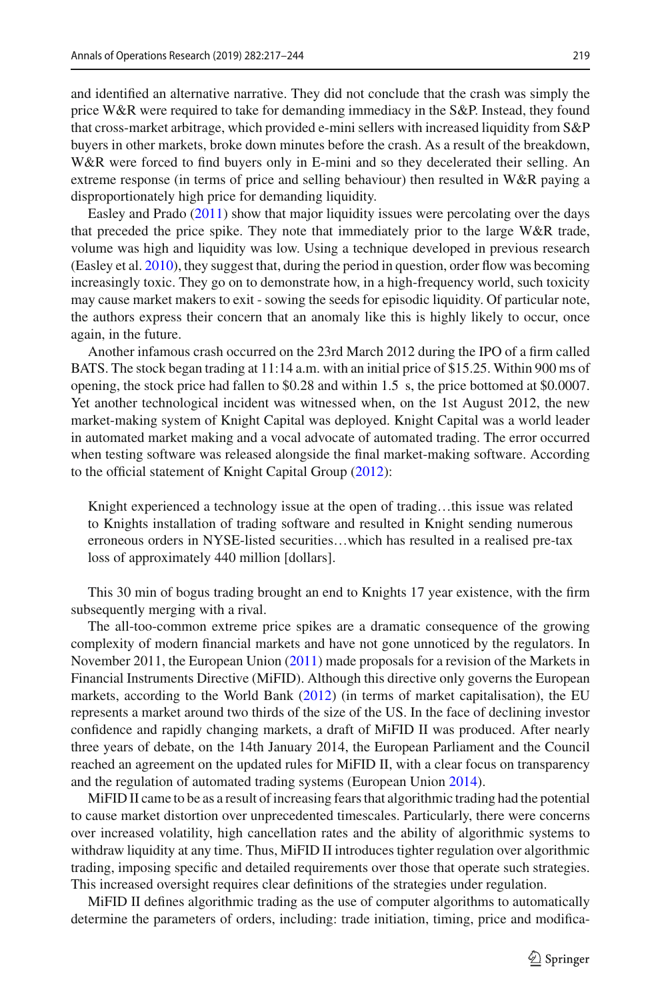and identified an alternative narrative. They did not conclude that the crash was simply the price W&R were required to take for demanding immediacy in the S&P. Instead, they found that cross-market arbitrage, which provided e-mini sellers with increased liquidity from S&P buyers in other markets, broke down minutes before the crash. As a result of the breakdown, W&R were forced to find buyers only in E-mini and so they decelerated their selling. An extreme response (in terms of price and selling behaviour) then resulted in W&R paying a disproportionately high price for demanding liquidity.

Easley and Prad[o](#page-26-2) [\(2011\)](#page-26-2) show that major liquidity issues were percolating over the days that preceded the price spike. They note that immediately prior to the large W&R trade, volume was high and liquidity was low. Using a technique developed in previous research (Easley et al[.](#page-26-3) [2010](#page-26-3)), they suggest that, during the period in question, order flow was becoming increasingly toxic. They go on to demonstrate how, in a high-frequency world, such toxicity may cause market makers to exit - sowing the seeds for episodic liquidity. Of particular note, the authors express their concern that an anomaly like this is highly likely to occur, once again, in the future.

Another infamous crash occurred on the 23rd March 2012 during the IPO of a firm called BATS. The stock began trading at 11:14 a.m. with an initial price of \$15.25. Within 900 ms of opening, the stock price had fallen to \$0.28 and within 1.5 s, the price bottomed at \$0.0007. Yet another technological incident was witnessed when, on the 1st August 2012, the new market-making system of Knight Capital was deployed. Knight Capital was a world leader in automated market making and a vocal advocate of automated trading. The error occurred when testing software was released alongside the final market-making software. According to the official statement of Knight Capital Grou[p](#page-27-2) [\(2012\)](#page-27-2):

Knight experienced a technology issue at the open of trading…this issue was related to Knights installation of trading software and resulted in Knight sending numerous erroneous orders in NYSE-listed securities…which has resulted in a realised pre-tax loss of approximately 440 million [dollars].

This 30 min of bogus trading brought an end to Knights 17 year existence, with the firm subsequently merging with a rival.

The all-too-common extreme price spikes are a dramatic consequence of the growing complexity of modern financial markets and have not gone unnoticed by the regulators. In November 2011, the European Unio[n](#page-26-4) [\(2011\)](#page-26-4) made proposals for a revision of the Markets in Financial Instruments Directive (MiFID). Although this directive only governs the European markets, according to the World Ban[k](#page-27-3) [\(2012\)](#page-27-3) (in terms of market capitalisation), the EU represents a market around two thirds of the size of the US. In the face of declining investor confidence and rapidly changing markets, a draft of MiFID II was produced. After nearly three years of debate, on the 14th January 2014, the European Parliament and the Council reached an agreement on the updated rules for MiFID II, with a clear focus on transparency and the regulation of automated trading systems (European Unio[n](#page-26-5) [2014](#page-26-5)).

MiFID II came to be as a result of increasing fears that algorithmic trading had the potential to cause market distortion over unprecedented timescales. Particularly, there were concerns over increased volatility, high cancellation rates and the ability of algorithmic systems to withdraw liquidity at any time. Thus, MiFID II introduces tighter regulation over algorithmic trading, imposing specific and detailed requirements over those that operate such strategies. This increased oversight requires clear definitions of the strategies under regulation.

MiFID II defines algorithmic trading as the use of computer algorithms to automatically determine the parameters of orders, including: trade initiation, timing, price and modifica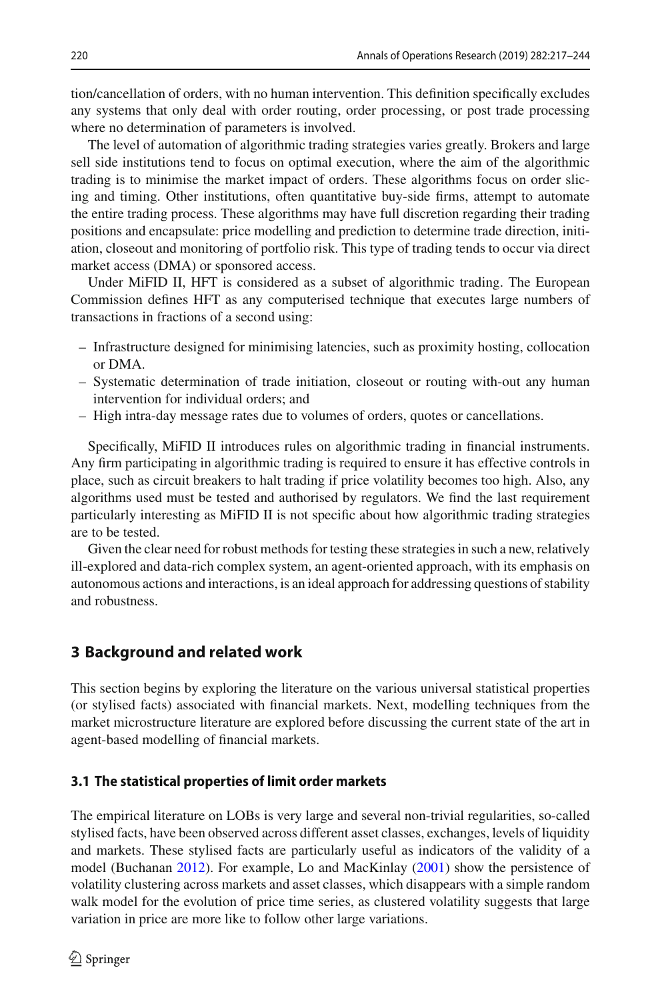tion/cancellation of orders, with no human intervention. This definition specifically excludes any systems that only deal with order routing, order processing, or post trade processing where no determination of parameters is involved.

The level of automation of algorithmic trading strategies varies greatly. Brokers and large sell side institutions tend to focus on optimal execution, where the aim of the algorithmic trading is to minimise the market impact of orders. These algorithms focus on order slicing and timing. Other institutions, often quantitative buy-side firms, attempt to automate the entire trading process. These algorithms may have full discretion regarding their trading positions and encapsulate: price modelling and prediction to determine trade direction, initiation, closeout and monitoring of portfolio risk. This type of trading tends to occur via direct market access (DMA) or sponsored access.

Under MiFID II, HFT is considered as a subset of algorithmic trading. The European Commission defines HFT as any computerised technique that executes large numbers of transactions in fractions of a second using:

- Infrastructure designed for minimising latencies, such as proximity hosting, collocation or DMA.
- Systematic determination of trade initiation, closeout or routing with-out any human intervention for individual orders; and
- High intra-day message rates due to volumes of orders, quotes or cancellations.

Specifically, MiFID II introduces rules on algorithmic trading in financial instruments. Any firm participating in algorithmic trading is required to ensure it has effective controls in place, such as circuit breakers to halt trading if price volatility becomes too high. Also, any algorithms used must be tested and authorised by regulators. We find the last requirement particularly interesting as MiFID II is not specific about how algorithmic trading strategies are to be tested.

Given the clear need for robust methods for testing these strategies in such a new, relatively ill-explored and data-rich complex system, an agent-oriented approach, with its emphasis on autonomous actions and interactions, is an ideal approach for addressing questions of stability and robustness.

# <span id="page-3-0"></span>**3 Background and related work**

This section begins by exploring the literature on the various universal statistical properties (or stylised facts) associated with financial markets. Next, modelling techniques from the market microstructure literature are explored before discussing the current state of the art in agent-based modelling of financial markets.

## <span id="page-3-1"></span>**3.1 The statistical properties of limit order markets**

The empirical literature on LOBs is very large and several non-trivial regularities, so-called stylised facts, have been observed across different asset classes, exchanges, levels of liquidity and markets. These stylised facts are particularly useful as indicators of the validity of a model (Buchana[n](#page-25-1) [2012\)](#page-25-1). For example, Lo and MacKinla[y](#page-27-4) [\(2001\)](#page-27-4) show the persistence of volatility clustering across markets and asset classes, which disappears with a simple random walk model for the evolution of price time series, as clustered volatility suggests that large variation in price are more like to follow other large variations.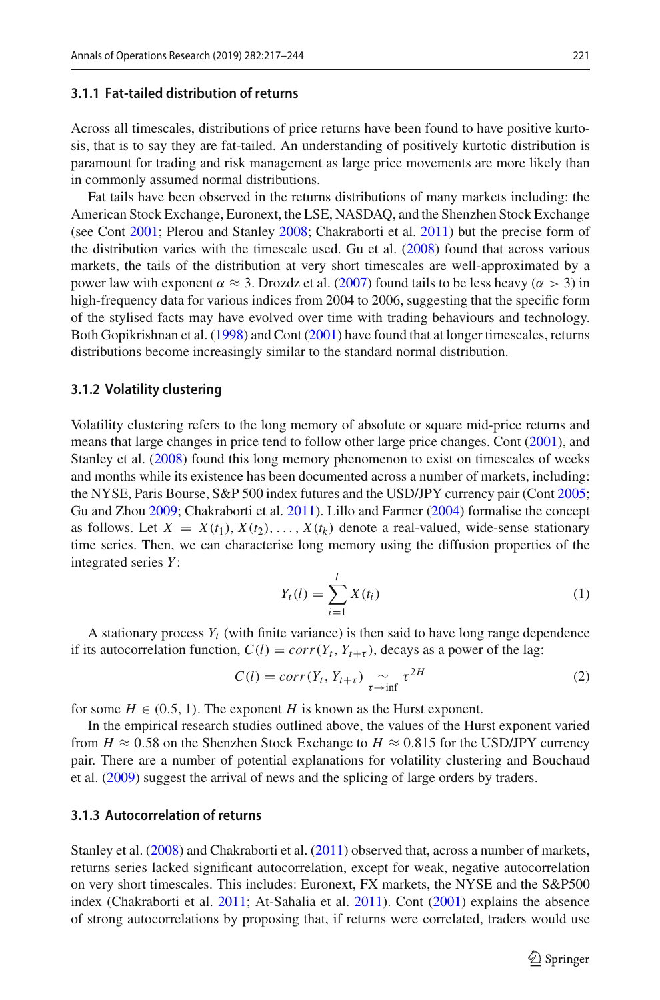#### <span id="page-4-0"></span>**3.1.1 Fat-tailed distribution of returns**

Across all timescales, distributions of price returns have been found to have positive kurtosis, that is to say they are fat-tailed. An understanding of positively kurtotic distribution is paramount for trading and risk management as large price movements are more likely than in commonly assumed normal distributions.

Fat tails have been observed in the returns distributions of many markets including: the American Stock Exchange, Euronext, the LSE, NASDAQ, and the Shenzhen Stock Exchange (see Con[t](#page-25-2) [2001](#page-25-2); Plerou and Stanle[y](#page-27-5) [2008;](#page-27-5) Chakraborti et al[.](#page-25-3) [2011](#page-25-3)) but the precise form of the distribution varies with the timescale used. Gu et al[.](#page-26-6) [\(2008\)](#page-26-6) found that across various markets, the tails of the distribution at very short timescales are well-approximated by a power law with exponent  $\alpha \approx 3$ [.](#page-26-7) Drozdz et al. [\(2007\)](#page-26-7) found tails to be less heavy ( $\alpha > 3$ ) in high-frequency data for various indices from 2004 to 2006, suggesting that the specific form of the stylised facts may have evolved over time with trading behaviours and technology. Both Gopikrishnan et al[.](#page-26-8) [\(1998](#page-26-8)) and Con[t](#page-25-2) [\(2001\)](#page-25-2) have found that at longer timescales, returns distributions become increasingly similar to the standard normal distribution.

#### **3.1.2 Volatility clustering**

Volatility clustering refers to the long memory of absolute or square mid-price returns and means that large changes in price tend to follow other large price changes. Con[t](#page-25-2) [\(2001\)](#page-25-2), and Stanley et al[.](#page-27-6) [\(2008\)](#page-27-6) found this long memory phenomenon to exist on timescales of weeks and months while its existence has been documented across a number of markets, including: the NYSE, Paris Bourse, S&P 500 index futures and the USD/JPY currency pair (Con[t](#page-25-4) [2005](#page-25-4); Gu and Zho[u](#page-26-9) [2009](#page-26-9); Chakraborti et al[.](#page-25-3) [2011](#page-25-3)). Lillo and Farme[r](#page-27-7) [\(2004](#page-27-7)) formalise the concept as follows. Let  $X = X(t_1), X(t_2), \ldots, X(t_k)$  denote a real-valued, wide-sense stationary time series. Then, we can characterise long memory using the diffusion properties of the integrated series *Y* :

$$
Y_t(l) = \sum_{i=1}^{l} X(t_i)
$$
 (1)

A stationary process  $Y_t$  (with finite variance) is then said to have long range dependence if its autocorrelation function,  $C(l) = corr(Y_t, Y_{t+\tau})$ , decays as a power of the lag:

$$
C(l) = corr(Y_t, Y_{t+\tau}) \underset{\tau \to \inf}{\sim} \tau^{2H}
$$
 (2)

for some  $H \in (0.5, 1)$ . The exponent *H* is known as the Hurst exponent.

In the empirical research studies outlined above, the values of the Hurst exponent varied from  $H \approx 0.58$  on the Shenzhen Stock Exchange to  $H \approx 0.815$  for the USD/JPY currency pair. There are a number of potential explanations for volatility clustering and Bouchaud et al[.](#page-25-5) [\(2009](#page-25-5)) suggest the arrival of news and the splicing of large orders by traders.

## <span id="page-4-1"></span>**3.1.3 Autocorrelation of returns**

Stanley et al[.](#page-27-6) [\(2008](#page-27-6)) and Chakraborti et al[.](#page-25-3) [\(2011](#page-25-3)) observed that, across a number of markets, returns series lacked significant autocorrelation, except for weak, negative autocorrelation on very short timescales. This includes: Euronext, FX markets, the NYSE and the S&P500 index (Chakraborti et al[.](#page-25-3) [2011](#page-25-3); At-Sahalia et al[.](#page-25-6) [2011](#page-25-6)). Con[t](#page-25-2) [\(2001](#page-25-2)) explains the absence of strong autocorrelations by proposing that, if returns were correlated, traders would use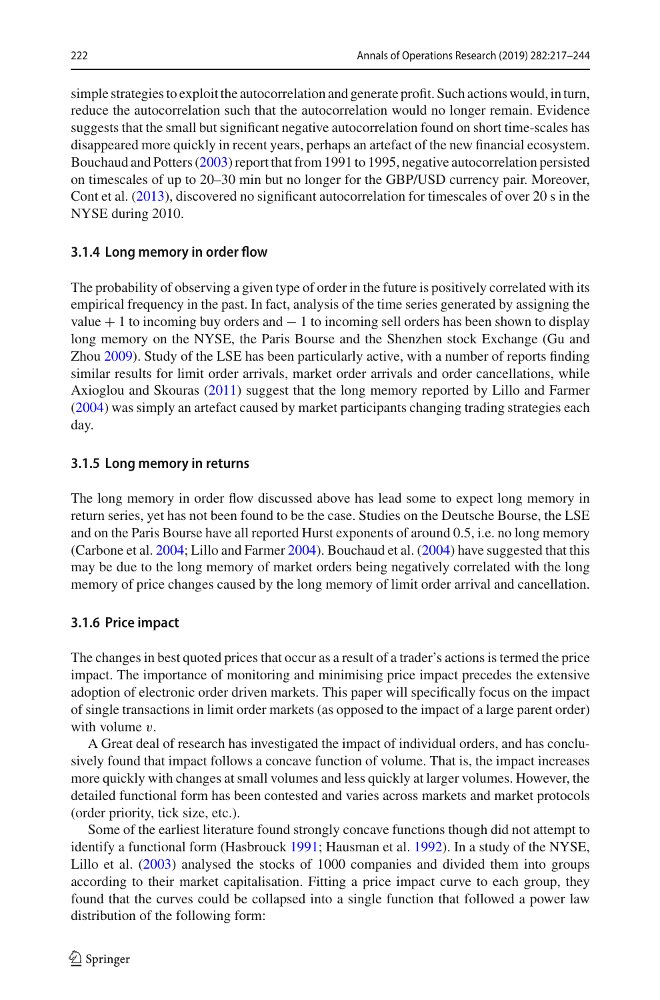simple strategies to exploit the autocorrelation and generate profit. Such actions would, in turn, reduce the autocorrelation such that the autocorrelation would no longer remain. Evidence suggests that the small but significant negative autocorrelation found on short time-scales has disappeared more quickly in recent years, perhaps an artefact of the new financial ecosystem. Bouchaud and Potter[s](#page-25-7) [\(2003\)](#page-25-7) report that from 1991 to 1995, negative autocorrelation persisted on timescales of up to 20–30 min but no longer for the GBP/USD currency pair. Moreover, Cont et al[.](#page-25-8) [\(2013\)](#page-25-8), discovered no significant autocorrelation for timescales of over 20 s in the NYSE during 2010.

# **3.1.4 Long memory in order flow**

The probability of observing a given type of order in the future is positively correlated with its empirical frequency in the past. In fact, analysis of the time series generated by assigning the value  $+1$  to incoming buy orders and  $-1$  to incoming sell orders has been shown to display long memory on the NYSE, the Paris Bourse and the Shenzhen stock Exchange (Gu and Zho[u](#page-26-9) [2009](#page-26-9)). Study of the LSE has been particularly active, with a number of reports finding similar results for limit order arrivals, market order arrivals and order cancellations, while Axioglou and Skoura[s](#page-25-9) [\(2011\)](#page-25-9) suggest that the long memory reported by Lillo and Farme[r](#page-27-7) [\(2004](#page-27-7)) was simply an artefact caused by market participants changing trading strategies each day.

## **3.1.5 Long memory in returns**

The long memory in order flow discussed above has lead some to expect long memory in return series, yet has not been found to be the case. Studies on the Deutsche Bourse, the LSE and on the Paris Bourse have all reported Hurst exponents of around 0.5, i.e. no long memory (Carbone et al[.](#page-25-10) [2004;](#page-25-10) Lillo and Farme[r](#page-27-7) [2004\)](#page-27-7). Bouchaud et al[.](#page-25-11) [\(2004\)](#page-25-11) have suggested that this may be due to the long memory of market orders being negatively correlated with the long memory of price changes caused by the long memory of limit order arrival and cancellation.

# **3.1.6 Price impact**

The changes in best quoted prices that occur as a result of a trader's actions is termed the price impact. The importance of monitoring and minimising price impact precedes the extensive adoption of electronic order driven markets. This paper will specifically focus on the impact of single transactions in limit order markets (as opposed to the impact of a large parent order) with volume  $v$ .

A Great deal of research has investigated the impact of individual orders, and has conclusively found that impact follows a concave function of volume. That is, the impact increases more quickly with changes at small volumes and less quickly at larger volumes. However, the detailed functional form has been contested and varies across markets and market protocols (order priority, tick size, etc.).

Some of the earliest literature found strongly concave functions though did not attempt to identify a functional form (Hasbrouc[k](#page-26-10) [1991](#page-26-10); Hausman et al[.](#page-26-11) [1992\)](#page-26-11). In a study of the NYSE, Lillo et al[.](#page-27-8) [\(2003](#page-27-8)) analysed the stocks of 1000 companies and divided them into groups according to their market capitalisation. Fitting a price impact curve to each group, they found that the curves could be collapsed into a single function that followed a power law distribution of the following form: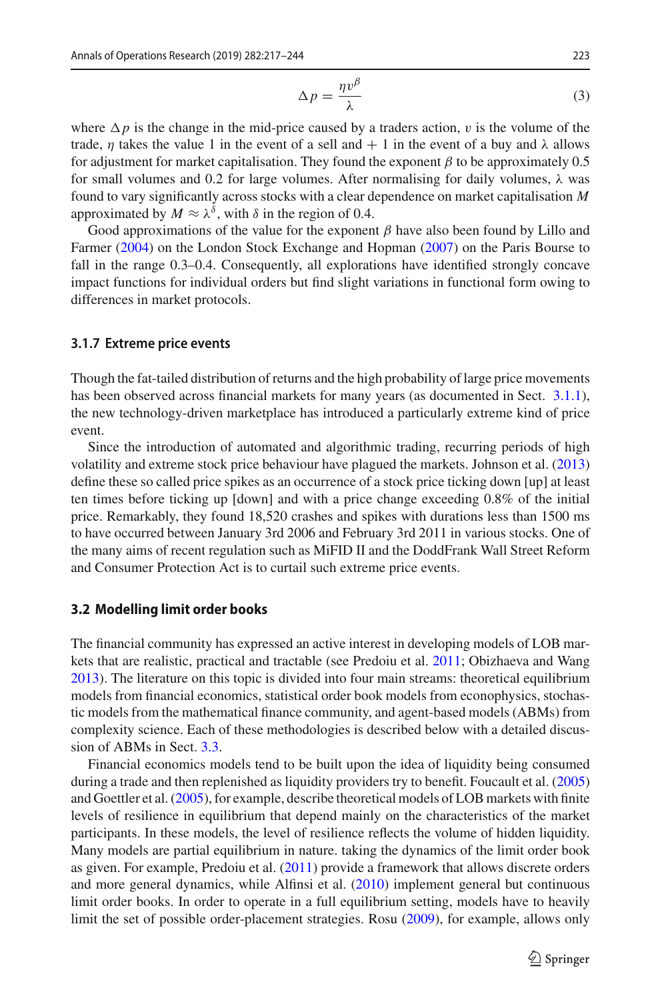<span id="page-6-0"></span>where  $\Delta p$  is the change in the mid-price caused by a traders action, v is the volume of the trade,  $\eta$  takes the value 1 in the event of a sell and  $+1$  in the event of a buy and  $\lambda$  allows for adjustment for market capitalisation. They found the exponent  $\beta$  to be approximately 0.5 for small volumes and 0.2 for large volumes. After normalising for daily volumes,  $\lambda$  was found to vary significantly across stocks with a clear dependence on market capitalisation *M* approximated by  $M \approx \lambda^{\delta}$ , with  $\delta$  in the region of 0.4.

Good approximations of the value for the exponent  $\beta$  have also been found by Lillo and Farme[r](#page-27-7) [\(2004](#page-27-7)) on the London Stock Exchange and Hopma[n](#page-26-12) [\(2007](#page-26-12)) on the Paris Bourse to fall in the range 0.3–0.4. Consequently, all explorations have identified strongly concave impact functions for individual orders but find slight variations in functional form owing to differences in market protocols.

#### **3.1.7 Extreme price events**

Though the fat-tailed distribution of returns and the high probability of large price movements has been observed across financial markets for many years (as documented in Sect. [3.1.1\)](#page-4-0), the new technology-driven marketplace has introduced a particularly extreme kind of price event.

Since the introduction of automated and algorithmic trading, recurring periods of high volatility and extreme stock price behaviour have plagued the markets. Johnson et al[.](#page-26-0) [\(2013\)](#page-26-0) define these so called price spikes as an occurrence of a stock price ticking down [up] at least ten times before ticking up [down] and with a price change exceeding 0.8% of the initial price. Remarkably, they found 18,520 crashes and spikes with durations less than 1500 ms to have occurred between January 3rd 2006 and February 3rd 2011 in various stocks. One of the many aims of recent regulation such as MiFID II and the DoddFrank Wall Street Reform and Consumer Protection Act is to curtail such extreme price events.

#### **3.2 Modelling limit order books**

The financial community has expressed an active interest in developing models of LOB markets that are realistic, practical and tractable (see Predoiu et al[.](#page-27-9) [2011](#page-27-9); Obizhaeva and Wan[g](#page-27-10) [2013](#page-27-10)). The literature on this topic is divided into four main streams: theoretical equilibrium models from financial economics, statistical order book models from econophysics, stochastic models from the mathematical finance community, and agent-based models (ABMs) from complexity science. Each of these methodologies is described below with a detailed discussion of ABMs in Sect. [3.3.](#page-7-0)

Financial economics models tend to be built upon the idea of liquidity being consumed during a trade and then replenished as liquidity providers try to benefit. Foucault et al[.](#page-26-13) [\(2005\)](#page-26-13) and Goettler et al[.](#page-26-14) [\(2005\)](#page-26-14), for example, describe theoretical models of LOB markets with finite levels of resilience in equilibrium that depend mainly on the characteristics of the market participants. In these models, the level of resilience reflects the volume of hidden liquidity. Many models are partial equilibrium in nature. taking the dynamics of the limit order book as given. For example, Predoiu et al[.](#page-27-9) [\(2011](#page-27-9)) provide a framework that allows discrete orders and more general dynamics, while Alfinsi et al[.](#page-25-12) [\(2010\)](#page-25-12) implement general but continuous limit order books. In order to operate in a full equilibrium setting, models have to heavily limit the set of possible order-placement strategies. Ros[u](#page-27-11) [\(2009\)](#page-27-11), for example, allows only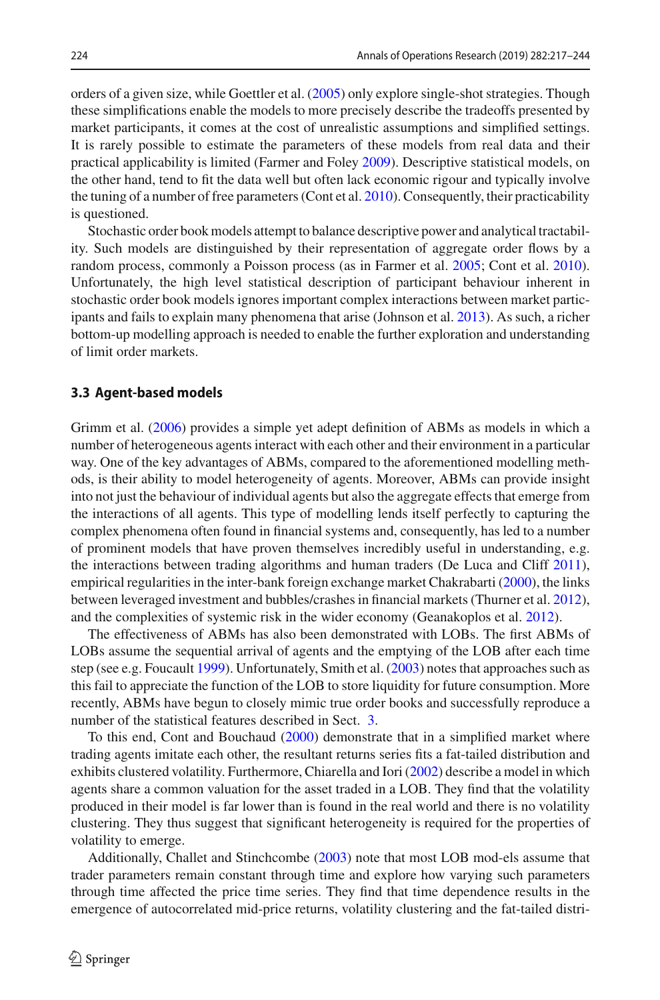orders of a given size, while Goettler et al[.](#page-26-14) [\(2005\)](#page-26-14) only explore single-shot strategies. Though these simplifications enable the models to more precisely describe the tradeoffs presented by market participants, it comes at the cost of unrealistic assumptions and simplified settings. It is rarely possible to estimate the parameters of these models from real data and their practical applicability is limited (Farmer and Fole[y](#page-26-15) [2009](#page-26-15)). Descriptive statistical models, on the other hand, tend to fit the data well but often lack economic rigour and typically involve the tuning of a number of free parameters (Cont et al[.](#page-26-16) [2010\)](#page-26-16). Consequently, their practicability is questioned.

Stochastic order book models attempt to balance descriptive power and analytical tractability. Such models are distinguished by their representation of aggregate order flows by a random process, commonly a Poisson process (as in Farmer et al[.](#page-26-17) [2005](#page-26-17); Cont et al[.](#page-26-16) [2010\)](#page-26-16). Unfortunately, the high level statistical description of participant behaviour inherent in stochastic order book models ignores important complex interactions between market participants and fails to explain many phenomena that arise (Johnson et al[.](#page-26-0) [2013](#page-26-0)). As such, a richer bottom-up modelling approach is needed to enable the further exploration and understanding of limit order markets.

#### <span id="page-7-0"></span>**3.3 Agent-based models**

Grimm et al[.](#page-26-18) [\(2006\)](#page-26-18) provides a simple yet adept definition of ABMs as models in which a number of heterogeneous agents interact with each other and their environment in a particular way. One of the key advantages of ABMs, compared to the aforementioned modelling methods, is their ability to model heterogeneity of agents. Moreover, ABMs can provide insight into not just the behaviour of individual agents but also the aggregate effects that emerge from the interactions of all agents. This type of modelling lends itself perfectly to capturing the complex phenomena often found in financial systems and, consequently, has led to a number of prominent models that have proven themselves incredibly useful in understanding, e.g. the interactions between trading algorithms and human traders (De Luca and Clif[f](#page-26-19) [2011\)](#page-26-19), empirical regularities in the inter-bank foreign exchange market Chakrabart[i](#page-25-13) [\(2000](#page-25-13)), the links between leveraged investment and bubbles/crashes in financial markets (Thurner et al[.](#page-27-12) [2012\)](#page-27-12), and the complexities of systemic risk in the wider economy (Geanakoplos et al[.](#page-26-20) [2012](#page-26-20)).

The effectiveness of ABMs has also been demonstrated with LOBs. The first ABMs of LOBs assume the sequential arrival of agents and the emptying of the LOB after each time step (see e.g. Foucaul[t](#page-26-21) [1999\)](#page-26-21). Unfortunately, Smith et al[.](#page-27-13) [\(2003](#page-27-13)) notes that approaches such as this fail to appreciate the function of the LOB to store liquidity for future consumption. More recently, ABMs have begun to closely mimic true order books and successfully reproduce a number of the statistical features described in Sect. [3.](#page-3-0)

To this end, Cont and Bouchau[d](#page-25-14) [\(2000](#page-25-14)) demonstrate that in a simplified market where trading agents imitate each other, the resultant returns series fits a fat-tailed distribution and exhibits clustered volatility. Furthermore, Chiarella and Ior[i](#page-25-15) [\(2002\)](#page-25-15) describe a model in which agents share a common valuation for the asset traded in a LOB. They find that the volatility produced in their model is far lower than is found in the real world and there is no volatility clustering. They thus suggest that significant heterogeneity is required for the properties of volatility to emerge.

Additionally, Challet and Stinchcomb[e](#page-25-16) [\(2003](#page-25-16)) note that most LOB mod-els assume that trader parameters remain constant through time and explore how varying such parameters through time affected the price time series. They find that time dependence results in the emergence of autocorrelated mid-price returns, volatility clustering and the fat-tailed distri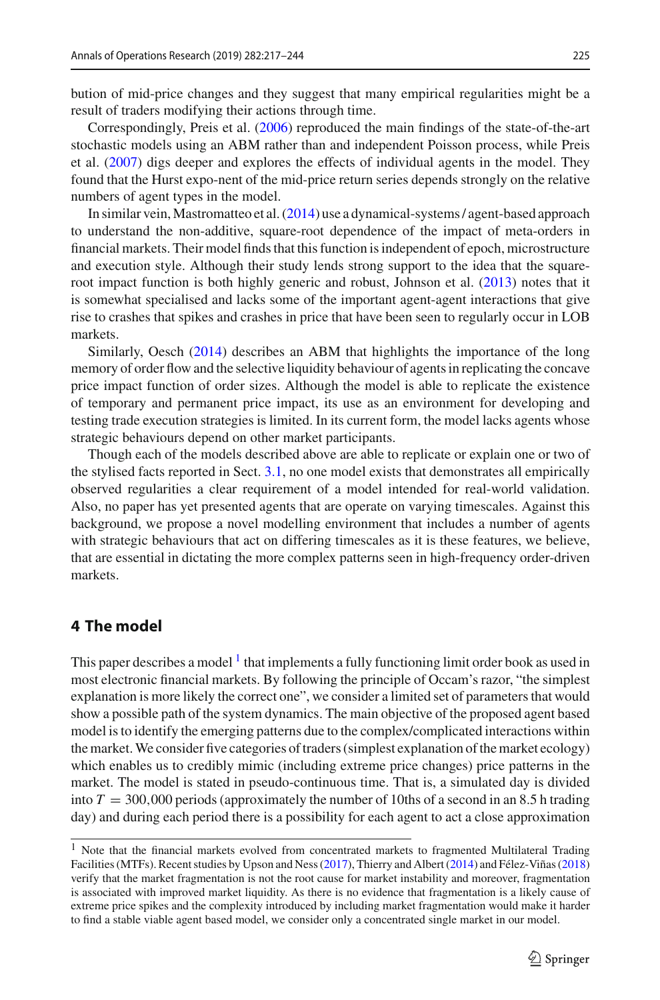bution of mid-price changes and they suggest that many empirical regularities might be a result of traders modifying their actions through time.

Correspondingly, Preis et al[.](#page-27-14) [\(2006\)](#page-27-14) reproduced the main findings of the state-of-the-art stochastic models using an ABM rather than and independent Poisson process, while Preis et al[.](#page-27-15) [\(2007\)](#page-27-15) digs deeper and explores the effects of individual agents in the model. They found that the Hurst expo-nent of the mid-price return series depends strongly on the relative numbers of agent types in the model.

In similar vein, Mastromatteo et al[.](#page-27-16) [\(2014\)](#page-27-16) use a dynamical-systems / agent-based approach to understand the non-additive, square-root dependence of the impact of meta-orders in financial markets. Their model finds that this function is independent of epoch, microstructure and execution style. Although their study lends strong support to the idea that the squareroot impact function is both highly generic and robust, Johnson et al[.](#page-26-0) [\(2013](#page-26-0)) notes that it is somewhat specialised and lacks some of the important agent-agent interactions that give rise to crashes that spikes and crashes in price that have been seen to regularly occur in LOB markets.

Similarly, Oesc[h](#page-27-17) [\(2014\)](#page-27-17) describes an ABM that highlights the importance of the long memory of order flow and the selective liquidity behaviour of agents in replicating the concave price impact function of order sizes. Although the model is able to replicate the existence of temporary and permanent price impact, its use as an environment for developing and testing trade execution strategies is limited. In its current form, the model lacks agents whose strategic behaviours depend on other market participants.

Though each of the models described above are able to replicate or explain one or two of the stylised facts reported in Sect. [3.1,](#page-3-1) no one model exists that demonstrates all empirically observed regularities a clear requirement of a model intended for real-world validation. Also, no paper has yet presented agents that are operate on varying timescales. Against this background, we propose a novel modelling environment that includes a number of agents with strategic behaviours that act on differing timescales as it is these features, we believe, that are essential in dictating the more complex patterns seen in high-frequency order-driven markets.

# <span id="page-8-0"></span>**4 The model**

This paper describes a model  $<sup>1</sup>$  $<sup>1</sup>$  $<sup>1</sup>$  that implements a fully functioning limit order book as used in</sup> most electronic financial markets. By following the principle of Occam's razor, "the simplest explanation is more likely the correct one", we consider a limited set of parameters that would show a possible path of the system dynamics. The main objective of the proposed agent based model is to identify the emerging patterns due to the complex/complicated interactions within the market.We consider five categories of traders (simplest explanation of the market ecology) which enables us to credibly mimic (including extreme price changes) price patterns in the market. The model is stated in pseudo-continuous time. That is, a simulated day is divided into  $T = 300,000$  periods (approximately the number of 10ths of a second in an 8.5 h trading day) and during each period there is a possibility for each agent to act a close approximation

<span id="page-8-1"></span><sup>&</sup>lt;sup>1</sup> Note that the financial markets evolved from concentrated markets to fragmented Multilateral Trading Facilities (MTFs). Recent studies by Upson and Nes[s](#page-27-18) [\(2017\)](#page-27-18), Thierry and Alber[t](#page-27-19) [\(2014\)](#page-27-19) and Félez-Viña[s](#page-26-22) [\(2018](#page-26-22)) verify that the market fragmentation is not the root cause for market instability and moreover, fragmentation is associated with improved market liquidity. As there is no evidence that fragmentation is a likely cause of extreme price spikes and the complexity introduced by including market fragmentation would make it harder to find a stable viable agent based model, we consider only a concentrated single market in our model.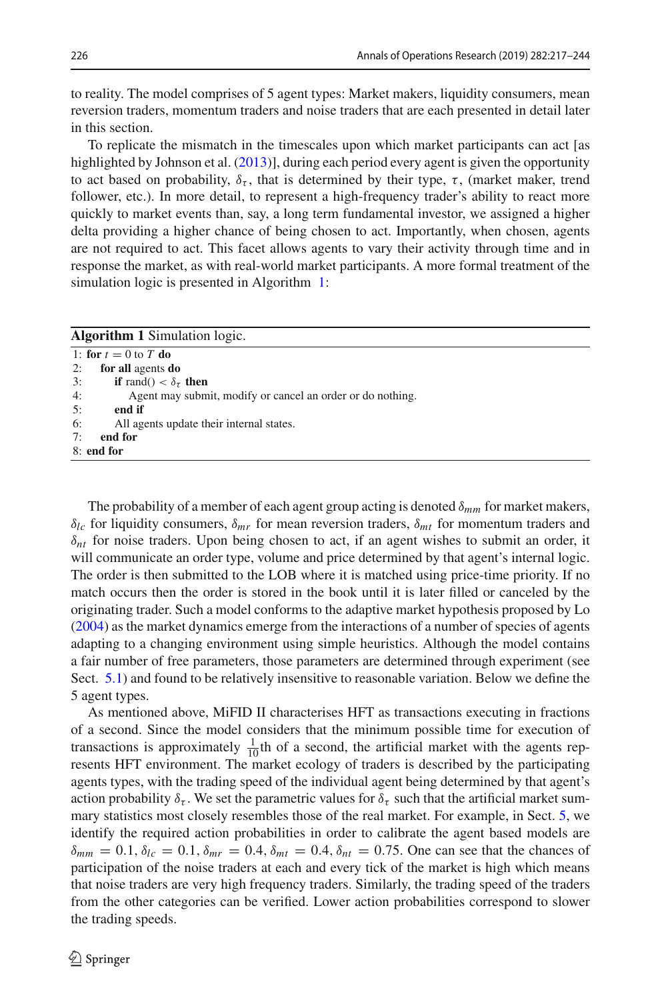to reality. The model comprises of 5 agent types: Market makers, liquidity consumers, mean reversion traders, momentum traders and noise traders that are each presented in detail later in this section.

To replicate the mismatch in the timescales upon which market participants can act [as highlighted by Johnson et al[.](#page-26-0) [\(2013\)](#page-26-0)], during each period every agent is given the opportunity to act based on probability,  $\delta_{\tau}$ , that is determined by their type,  $\tau$ , (market maker, trend follower, etc.). In more detail, to represent a high-frequency trader's ability to react more quickly to market events than, say, a long term fundamental investor, we assigned a higher delta providing a higher chance of being chosen to act. Importantly, when chosen, agents are not required to act. This facet allows agents to vary their activity through time and in response the market, as with real-world market participants. A more formal treatment of the simulation logic is presented in Algorithm [1:](#page-9-0)

<span id="page-9-0"></span>

|            | <b>Algorithm 1 Simulation logic.</b>                       |
|------------|------------------------------------------------------------|
|            | 1: for $t = 0$ to T do                                     |
| 2:         | for all agents do                                          |
| 3:         | <b>if</b> rand() $< \delta_{\tau}$ then                    |
| 4:         | Agent may submit, modify or cancel an order or do nothing. |
| 5:         | end if                                                     |
| 6:         | All agents update their internal states.                   |
| 7:         | end for                                                    |
| 8: end for |                                                            |
|            |                                                            |

The probability of a member of each agent group acting is denoted  $\delta_{mm}$  for market makers,  $\delta_{lc}$  for liquidity consumers,  $\delta_{mr}$  for mean reversion traders,  $\delta_{mt}$  for momentum traders and  $\delta_{nt}$  for noise traders. Upon being chosen to act, if an agent wishes to submit an order, it will communicate an order type, volume and price determined by that agent's internal logic. The order is then submitted to the LOB where it is matched using price-time priority. If no match occurs then the order is stored in the book until it is later filled or canceled by the originating trader. Such a model conforms to the adaptive market hypothesis proposed by L[o](#page-27-20) [\(2004](#page-27-20)) as the market dynamics emerge from the interactions of a number of species of agents adapting to a changing environment using simple heuristics. Although the model contains a fair number of free parameters, those parameters are determined through experiment (see Sect. [5.1\)](#page-15-0) and found to be relatively insensitive to reasonable variation. Below we define the 5 agent types.

As mentioned above, MiFID II characterises HFT as transactions executing in fractions of a second. Since the model considers that the minimum possible time for execution of transactions is approximately  $\frac{1}{10}$ th of a second, the artificial market with the agents represents HFT environment. The market ecology of traders is described by the participating agents types, with the trading speed of the individual agent being determined by that agent's action probability  $\delta_{\tau}$ . We set the parametric values for  $\delta_{\tau}$  such that the artificial market summary statistics most closely resembles those of the real market. For example, in Sect. [5,](#page-14-0) we identify the required action probabilities in order to calibrate the agent based models are  $\delta_{mm} = 0.1, \delta_{lc} = 0.1, \delta_{mr} = 0.4, \delta_{mt} = 0.4, \delta_{nt} = 0.75$ . One can see that the chances of participation of the noise traders at each and every tick of the market is high which means that noise traders are very high frequency traders. Similarly, the trading speed of the traders from the other categories can be verified. Lower action probabilities correspond to slower the trading speeds.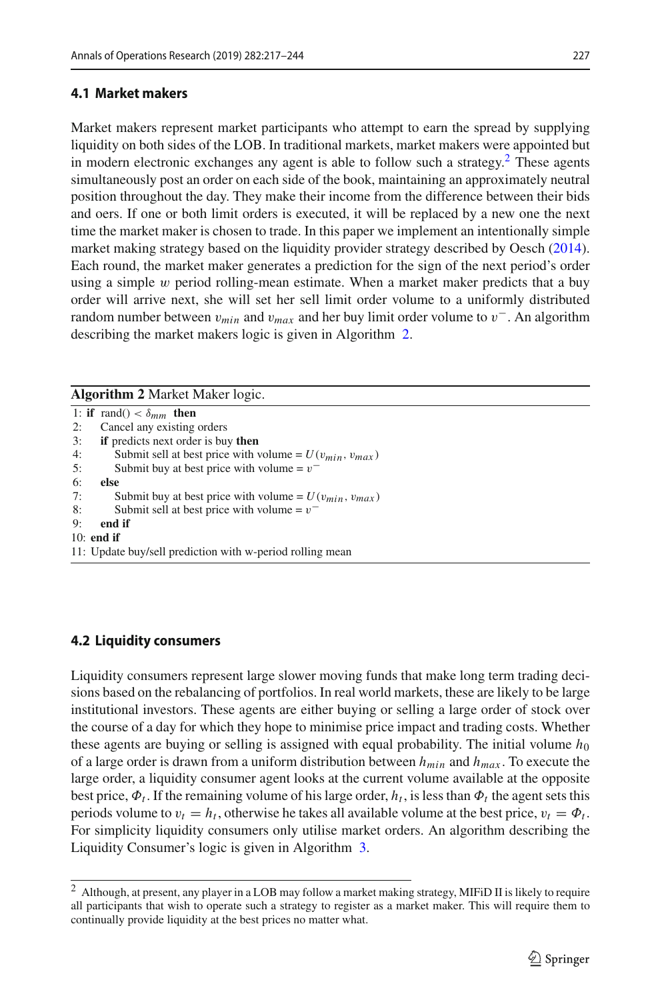Market makers represent market participants who attempt to earn the spread by supplying liquidity on both sides of the LOB. In traditional markets, market makers were appointed but in modern electronic exchanges any agent is able to follow such a strategy[.2](#page-10-0) These agents simultaneously post an order on each side of the book, maintaining an approximately neutral position throughout the day. They make their income from the difference between their bids and oers. If one or both limit orders is executed, it will be replaced by a new one the next time the market maker is chosen to trade. In this paper we implement an intentionally simple market making strategy based on the liquidity provider strategy described by Oesc[h](#page-27-17) [\(2014\)](#page-27-17). Each round, the market maker generates a prediction for the sign of the next period's order using a simple  $w$  period rolling-mean estimate. When a market maker predicts that a buy order will arrive next, she will set her sell limit order volume to a uniformly distributed random number between v*min* and v*max* and her buy limit order volume to v−. An algorithm describing the market makers logic is given in Algorithm [2.](#page-10-1)

#### <span id="page-10-1"></span>**Algorithm 2** Market Maker logic.

1: **if** rand()  $< \delta_{mm}$  **then**<br>2: Cancel any existing 2: Cancel any existing orders<br>3: **if** predicts next order is bu if predicts next order is buy then 4: Submit sell at best price with volume =  $U(v_{min}, v_{max})$ <br>5: Submit buy at best price with volume =  $v^{-}$ Submit buy at best price with volume =  $v<sup>-</sup>$ 6: **else** 7: Submit buy at best price with volume =  $U(v_{min}, v_{max})$ <br>8: Submit sell at best price with volume =  $v^{-}$ Submit sell at best price with volume =  $v<sup>−</sup>$ 9: **end if** 10: **end if** 11: Update buy/sell prediction with w-period rolling mean

## **4.2 Liquidity consumers**

Liquidity consumers represent large slower moving funds that make long term trading decisions based on the rebalancing of portfolios. In real world markets, these are likely to be large institutional investors. These agents are either buying or selling a large order of stock over the course of a day for which they hope to minimise price impact and trading costs. Whether these agents are buying or selling is assigned with equal probability. The initial volume  $h_0$ of a large order is drawn from a uniform distribution between  $h_{min}$  and  $h_{max}$ . To execute the large order, a liquidity consumer agent looks at the current volume available at the opposite best price,  $\Phi_t$ . If the remaining volume of his large order,  $h_t$ , is less than  $\Phi_t$  the agent sets this periods volume to  $v_t = h_t$ , otherwise he takes all available volume at the best price,  $v_t = \Phi_t$ . For simplicity liquidity consumers only utilise market orders. An algorithm describing the Liquidity Consumer's logic is given in Algorithm [3.](#page-11-0)

<span id="page-10-0"></span><sup>&</sup>lt;sup>2</sup> Although, at present, any player in a LOB may follow a market making strategy, MIFiD II is likely to require all participants that wish to operate such a strategy to register as a market maker. This will require them to continually provide liquidity at the best prices no matter what.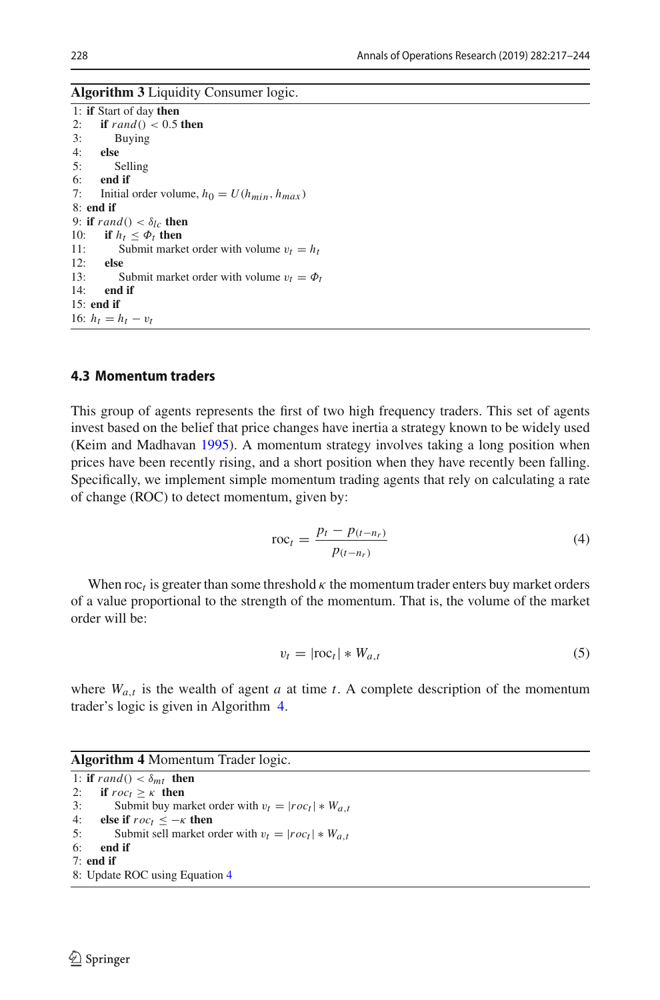| 1: <b>if</b> Start of day <b>then</b>                 |
|-------------------------------------------------------|
| 2: if $rand() < 0.5$ then                             |
| 3:<br>Buying                                          |
| 4: else                                               |
| 5: Selling                                            |
| 6: end if                                             |
| 7: Initial order volume, $h_0 = U(h_{min}, h_{max})$  |
| $8:$ end if                                           |
| 9: if rand() $< \delta_{lc}$ then                     |
| 10: if $h_t < \Phi_t$ then                            |
| Submit market order with volume $v_t = h_t$<br>11:    |
| $12:$ else                                            |
| 13:<br>Submit market order with volume $v_t = \Phi_t$ |
| 14:<br>end if                                         |
| $15:$ end if                                          |
| 16: $h_t = h_t - v_t$                                 |

### <span id="page-11-0"></span>**Algorithm 3** Liquidity Consumer logic.

#### **4.3 Momentum traders**

This group of agents represents the first of two high frequency traders. This set of agents invest based on the belief that price changes have inertia a strategy known to be widely used (Keim and Madhava[n](#page-26-23) [1995\)](#page-26-23). A momentum strategy involves taking a long position when prices have been recently rising, and a short position when they have recently been falling. Specifically, we implement simple momentum trading agents that rely on calculating a rate of change (ROC) to detect momentum, given by:

<span id="page-11-2"></span>
$$
roct = \frac{p_t - p_{(t-n_r)}}{p_{(t-n_r)}}
$$
\n(4)

When roc<sub>t</sub> is greater than some threshold  $\kappa$  the momentum trader enters buy market orders of a value proportional to the strength of the momentum. That is, the volume of the market order will be:

$$
v_t = |\text{roc}_t| * W_{a,t} \tag{5}
$$

where  $W_{a,t}$  is the wealth of agent *a* at time *t*. A complete description of the momentum trader's logic is given in Algorithm [4.](#page-11-1)

#### <span id="page-11-1"></span>**Algorithm 4** Momentum Trader logic.

```
1: if rand() < \delta_{mt} then<br>2: if roc_t > \kappa then
2: if roc_t \ge \kappa then<br>3: Submit buy may
3: Submit buy market order with v_t = |roc_t| * W_{a,t}<br>4: else if roc_t < -\kappa then
4: else if roc_t \leq -\kappa then<br>5: Submit sell market of
5: Submit sell market order with v_t = |roc_t| * W_{a,t}<br>6: end if
         6: end if
7: end if
8: Update ROC using Equation 4
```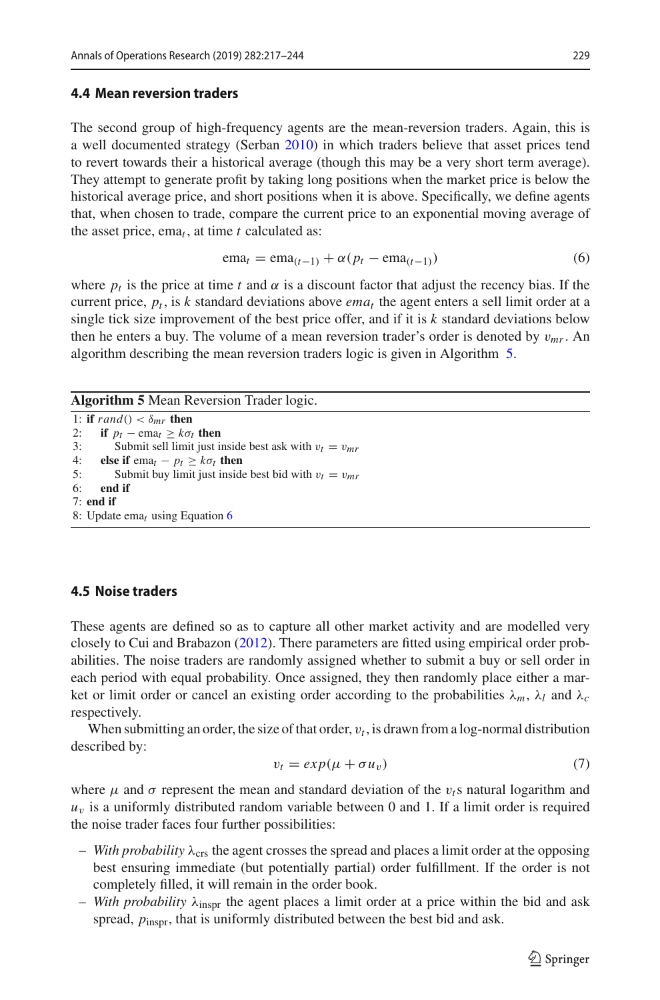#### **4.4 Mean reversion traders**

The second group of high-frequency agents are the mean-reversion traders. Again, this is a well documented strategy (Serba[n](#page-27-21) [2010\)](#page-27-21) in which traders believe that asset prices tend to revert towards their a historical average (though this may be a very short term average). They attempt to generate profit by taking long positions when the market price is below the historical average price, and short positions when it is above. Specifically, we define agents that, when chosen to trade, compare the current price to an exponential moving average of the asset price,  $ema_t$ , at time *t* calculated as:

<span id="page-12-1"></span>
$$
\text{ema}_{t} = \text{ema}_{(t-1)} + \alpha (p_t - \text{ema}_{(t-1)})
$$
\n(6)

where  $p_t$  is the price at time t and  $\alpha$  is a discount factor that adjust the recency bias. If the current price,  $p_t$ , is k standard deviations above *ema<sub>t</sub>* the agent enters a sell limit order at a single tick size improvement of the best price offer, and if it is *k* standard deviations below then he enters a buy. The volume of a mean reversion trader's order is denoted by  $v_{mr}$ . An algorithm describing the mean reversion traders logic is given in Algorithm [5.](#page-12-0)

#### <span id="page-12-0"></span>**Algorithm 5** Mean Reversion Trader logic.

1: **if**  $rand() < \delta_{mr}$  **then**<br>2: **if**  $p_t$  – ema<sub>t</sub> >  $k\sigma_t$ 2: **if**  $p_t - \text{ema}_t \geq k\sigma_t$  **then**<br>3: Submit sell limit just i 3: Submit sell limit just inside best ask with  $v_t = v_{mr}$ <br>4: **else if** ema<sub>t</sub>  $-v_t > k\sigma_t$  **then** 4: **else if** ema<sub>t</sub> −  $p_t \geq k\sigma_t$  **then**<br>5: Submit buy limit just inside 5: Submit buy limit just inside best bid with  $v_t = v_{mr}$ <br>6: end if 6: **end if** 7: **end if** 8: Update ema*t* using Equation [6](#page-12-1)

# **4.5 Noise traders**

These agents are defined so as to capture all other market activity and are modelled very closely to Cui and Brabazo[n](#page-26-24) [\(2012](#page-26-24)). There parameters are fitted using empirical order probabilities. The noise traders are randomly assigned whether to submit a buy or sell order in each period with equal probability. Once assigned, they then randomly place either a market or limit order or cancel an existing order according to the probabilities  $\lambda_m$ ,  $\lambda_l$  and  $\lambda_c$ respectively.

When submitting an order, the size of that order,  $v_t$ , is drawn from a log-normal distribution described by:

<span id="page-12-2"></span>
$$
v_t = exp(\mu + \sigma u_v) \tag{7}
$$

where  $\mu$  and  $\sigma$  represent the mean and standard deviation of the  $v_t$ s natural logarithm and  $u<sub>v</sub>$  is a uniformly distributed random variable between 0 and 1. If a limit order is required the noise trader faces four further possibilities:

- $-$  *With probability*  $\lambda_{\text{crs}}$  the agent crosses the spread and places a limit order at the opposing best ensuring immediate (but potentially partial) order fulfillment. If the order is not completely filled, it will remain in the order book.
- *With probability*  $\lambda_{\text{inspr}}$  the agent places a limit order at a price within the bid and ask spread,  $p_{\text{inspr}}$ , that is uniformly distributed between the best bid and ask.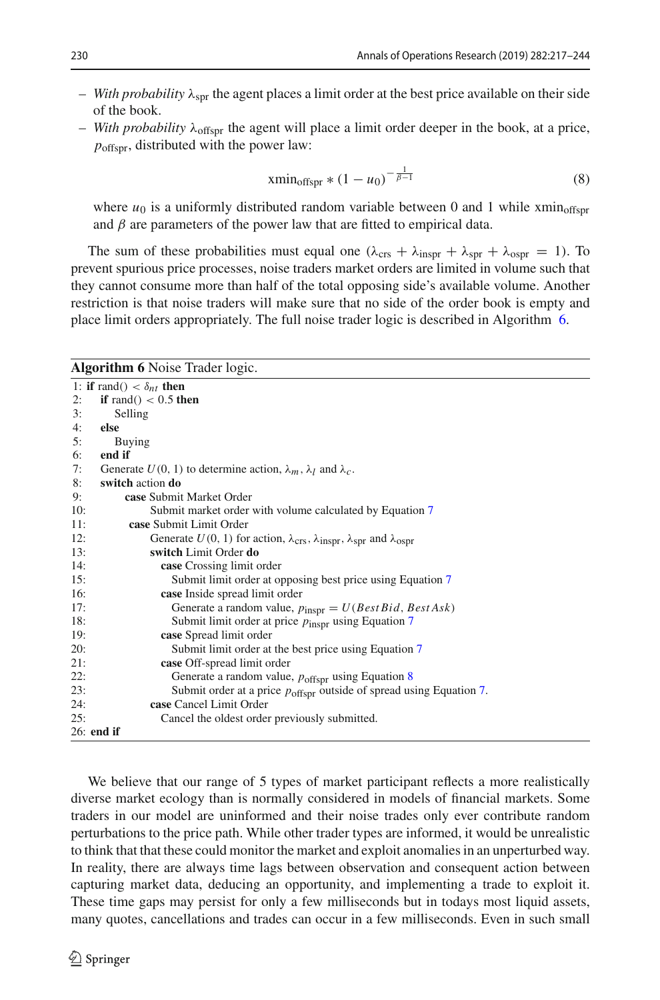- $-$  *With probability*  $\lambda_{spr}$  the agent places a limit order at the best price available on their side of the book.
- $-$  *With probability*  $\lambda_{\text{offspr}}$  the agent will place a limit order deeper in the book, at a price, *p*offspr, distributed with the power law:

<span id="page-13-1"></span>
$$
xmin_{offspr} * (1 - u_0)^{-\frac{1}{\beta - 1}}
$$
 (8)

where  $u_0$  is a uniformly distributed random variable between 0 and 1 while xmin<sub>offspr</sub> and  $\beta$  are parameters of the power law that are fitted to empirical data.

The sum of these probabilities must equal one  $(\lambda_{\text{crs}} + \lambda_{\text{inspr}} + \lambda_{\text{spr}} + \lambda_{\text{ospr}} = 1)$ . To prevent spurious price processes, noise traders market orders are limited in volume such that they cannot consume more than half of the total opposing side's available volume. Another restriction is that noise traders will make sure that no side of the order book is empty and place limit orders appropriately. The full noise trader logic is described in Algorithm [6.](#page-13-0)

### <span id="page-13-0"></span>**Algorithm 6** Noise Trader logic.

| 1: if rand() $< \delta_{nt}$ then                                                                                                            |
|----------------------------------------------------------------------------------------------------------------------------------------------|
| if rand() $< 0.5$ then<br>2:                                                                                                                 |
| 3:<br>Selling                                                                                                                                |
| 4:<br>else                                                                                                                                   |
| 5:<br>Buying                                                                                                                                 |
| 6:<br>end if                                                                                                                                 |
| Generate $U(0, 1)$ to determine action, $\lambda_m$ , $\lambda_l$ and $\lambda_c$ .<br>7:                                                    |
| switch action do<br>8:                                                                                                                       |
| 9:<br>case Submit Market Order                                                                                                               |
| 10:<br>Submit market order with volume calculated by Equation 7                                                                              |
| 11:<br>case Submit Limit Order                                                                                                               |
| Generate $U(0, 1)$ for action, $\lambda_{\text{crs}}$ , $\lambda_{\text{inspr}}$ , $\lambda_{\text{spr}}$ and $\lambda_{\text{ospr}}$<br>12: |
| 13:<br>switch Limit Order do                                                                                                                 |
| 14:<br>case Crossing limit order                                                                                                             |
| 15:<br>Submit limit order at opposing best price using Equation 7                                                                            |
| 16:<br>case Inside spread limit order                                                                                                        |
| 17:<br>Generate a random value, $p_{inspr} = U(Best Bid, Best Ask)$                                                                          |
| 18:<br>Submit limit order at price $p_{\text{inspr}}$ using Equation 7                                                                       |
| 19:<br>case Spread limit order                                                                                                               |
| 20:<br>Submit limit order at the best price using Equation 7                                                                                 |
| 21:<br>case Off-spread limit order                                                                                                           |
| 22:<br>Generate a random value, $p_{\text{offspr}}$ using Equation 8                                                                         |
| 23:<br>Submit order at a price $p_{\text{offspr}}$ outside of spread using Equation 7.                                                       |
| 24:<br>case Cancel Limit Order                                                                                                               |
| 25:<br>Cancel the oldest order previously submitted.                                                                                         |
| $26:$ end if                                                                                                                                 |

We believe that our range of 5 types of market participant reflects a more realistically diverse market ecology than is normally considered in models of financial markets. Some traders in our model are uninformed and their noise trades only ever contribute random perturbations to the price path. While other trader types are informed, it would be unrealistic to think that that these could monitor the market and exploit anomalies in an unperturbed way. In reality, there are always time lags between observation and consequent action between capturing market data, deducing an opportunity, and implementing a trade to exploit it. These time gaps may persist for only a few milliseconds but in todays most liquid assets, many quotes, cancellations and trades can occur in a few milliseconds. Even in such small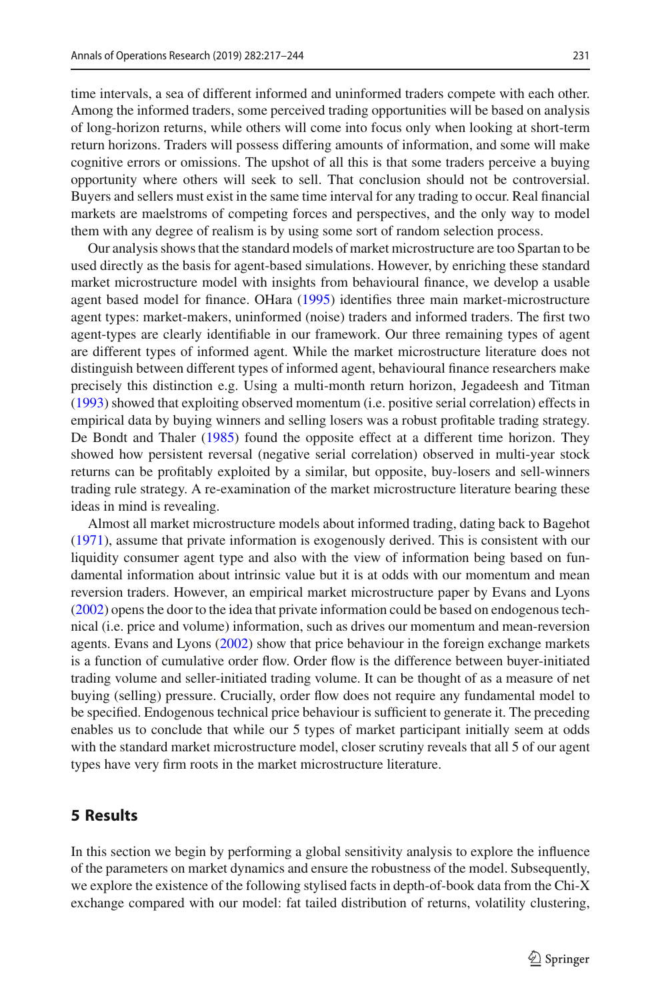time intervals, a sea of different informed and uninformed traders compete with each other. Among the informed traders, some perceived trading opportunities will be based on analysis of long-horizon returns, while others will come into focus only when looking at short-term return horizons. Traders will possess differing amounts of information, and some will make cognitive errors or omissions. The upshot of all this is that some traders perceive a buying opportunity where others will seek to sell. That conclusion should not be controversial. Buyers and sellers must exist in the same time interval for any trading to occur. Real financial markets are maelstroms of competing forces and perspectives, and the only way to model them with any degree of realism is by using some sort of random selection process.

Our analysis shows that the standard models of market microstructure are too Spartan to be used directly as the basis for agent-based simulations. However, by enriching these standard market microstructure model with insights from behavioural finance, we develop a usable agent based model for finance. OHar[a](#page-27-22) [\(1995](#page-27-22)) identifies three main market-microstructure agent types: market-makers, uninformed (noise) traders and informed traders. The first two agent-types are clearly identifiable in our framework. Our three remaining types of agent are different types of informed agent. While the market microstructure literature does not distinguish between different types of informed agent, behavioural finance researchers make precisely this distinction e.g. Using a multi-month return horizon, Jegadeesh and Titma[n](#page-26-25) [\(1993](#page-26-25)) showed that exploiting observed momentum (i.e. positive serial correlation) effects in empirical data by buying winners and selling losers was a robust profitable trading strategy. De Bondt and Thale[r](#page-26-26) [\(1985](#page-26-26)) found the opposite effect at a different time horizon. They showed how persistent reversal (negative serial correlation) observed in multi-year stock returns can be profitably exploited by a similar, but opposite, buy-losers and sell-winners trading rule strategy. A re-examination of the market microstructure literature bearing these ideas in mind is revealing.

Almost all market microstructure models about informed trading, dating back to Bageho[t](#page-25-17) [\(1971](#page-25-17)), assume that private information is exogenously derived. This is consistent with our liquidity consumer agent type and also with the view of information being based on fundamental information about intrinsic value but it is at odds with our momentum and mean reversion traders. However, an empirical market microstructure paper by Evans and Lyon[s](#page-26-27) [\(2002](#page-26-27)) opens the door to the idea that private information could be based on endogenous technical (i.e. price and volume) information, such as drives our momentum and mean-reversion agents. Evans and Lyon[s](#page-26-27) [\(2002](#page-26-27)) show that price behaviour in the foreign exchange markets is a function of cumulative order flow. Order flow is the difference between buyer-initiated trading volume and seller-initiated trading volume. It can be thought of as a measure of net buying (selling) pressure. Crucially, order flow does not require any fundamental model to be specified. Endogenous technical price behaviour is sufficient to generate it. The preceding enables us to conclude that while our 5 types of market participant initially seem at odds with the standard market microstructure model, closer scrutiny reveals that all 5 of our agent types have very firm roots in the market microstructure literature.

# <span id="page-14-0"></span>**5 Results**

In this section we begin by performing a global sensitivity analysis to explore the influence of the parameters on market dynamics and ensure the robustness of the model. Subsequently, we explore the existence of the following stylised facts in depth-of-book data from the Chi-X exchange compared with our model: fat tailed distribution of returns, volatility clustering,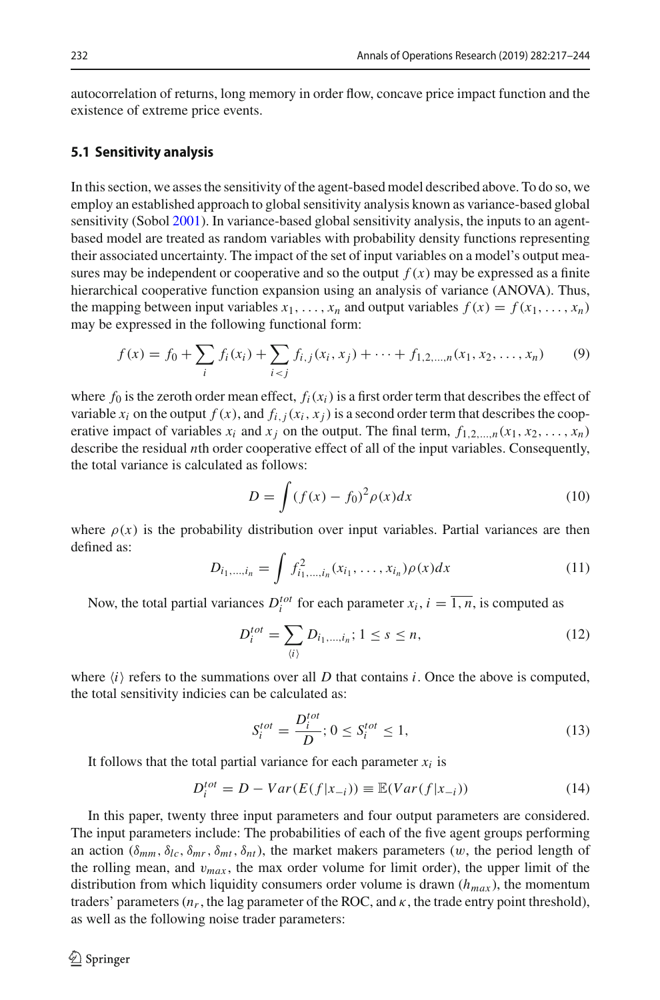autocorrelation of returns, long memory in order flow, concave price impact function and the existence of extreme price events.

#### <span id="page-15-0"></span>**5.1 Sensitivity analysis**

In this section, we asses the sensitivity of the agent-based model described above. To do so, we employ an established approach to global sensitivity analysis known as variance-based global sensitivity (Sobo[l](#page-27-23) [2001\)](#page-27-23). In variance-based global sensitivity analysis, the inputs to an agentbased model are treated as random variables with probability density functions representing their associated uncertainty. The impact of the set of input variables on a model's output measures may be independent or cooperative and so the output  $f(x)$  may be expressed as a finite hierarchical cooperative function expansion using an analysis of variance (ANOVA). Thus, the mapping between input variables  $x_1, \ldots, x_n$  and output variables  $f(x) = f(x_1, \ldots, x_n)$ may be expressed in the following functional form:

$$
f(x) = f_0 + \sum_i f_i(x_i) + \sum_{i < j} f_{i,j}(x_i, x_j) + \dots + f_{1,2,\dots,n}(x_1, x_2, \dots, x_n) \tag{9}
$$

where  $f_0$  is the zeroth order mean effect,  $f_i(x_i)$  is a first order term that describes the effect of variable  $x_i$  on the output  $f(x)$ , and  $f_i$ ,  $j(x_i, x_j)$  is a second order term that describes the cooperative impact of variables  $x_i$  and  $x_j$  on the output. The final term,  $f_{1,2,...,n}(x_1, x_2,..., x_n)$ describe the residual *n*th order cooperative effect of all of the input variables. Consequently, the total variance is calculated as follows:

$$
D = \int (f(x) - f_0)^2 \rho(x) dx
$$
 (10)

where  $\rho(x)$  is the probability distribution over input variables. Partial variances are then defined as:

$$
D_{i_1,\dots,i_n} = \int f_{i_1,\dots,i_n}^2(x_{i_1},\dots,x_{i_n}) \rho(x) dx \tag{11}
$$

Now, the total partial variances  $D_i^{tot}$  for each parameter  $x_i$ ,  $i = \overline{1, n}$ , is computed as

$$
D_i^{tot} = \sum_{\langle i \rangle} D_{i_1, \dots, i_n}; \ 1 \le s \le n,\tag{12}
$$

where  $\langle i \rangle$  refers to the summations over all *D* that contains *i*. Once the above is computed, the total sensitivity indicies can be calculated as:

$$
S_i^{tot} = \frac{D_i^{tot}}{D}; 0 \le S_i^{tot} \le 1,
$$
\n(13)

It follows that the total partial variance for each parameter  $x_i$  is

<span id="page-15-1"></span>
$$
D_i^{tot} = D - Var(E(f|x_{-i})) \equiv \mathbb{E}(Var(f|x_{-i})) \tag{14}
$$

In this paper, twenty three input parameters and four output parameters are considered. The input parameters include: The probabilities of each of the five agent groups performing an action ( $\delta_{mm}$ ,  $\delta_{lc}$ ,  $\delta_{mr}$ ,  $\delta_{mt}$ ,  $\delta_{nt}$ ), the market makers parameters (w, the period length of the rolling mean, and  $v_{max}$ , the max order volume for limit order), the upper limit of the distribution from which liquidity consumers order volume is drawn  $(h_{max})$ , the momentum traders' parameters  $(n_r)$ , the lag parameter of the ROC, and  $\kappa$ , the trade entry point threshold), as well as the following noise trader parameters: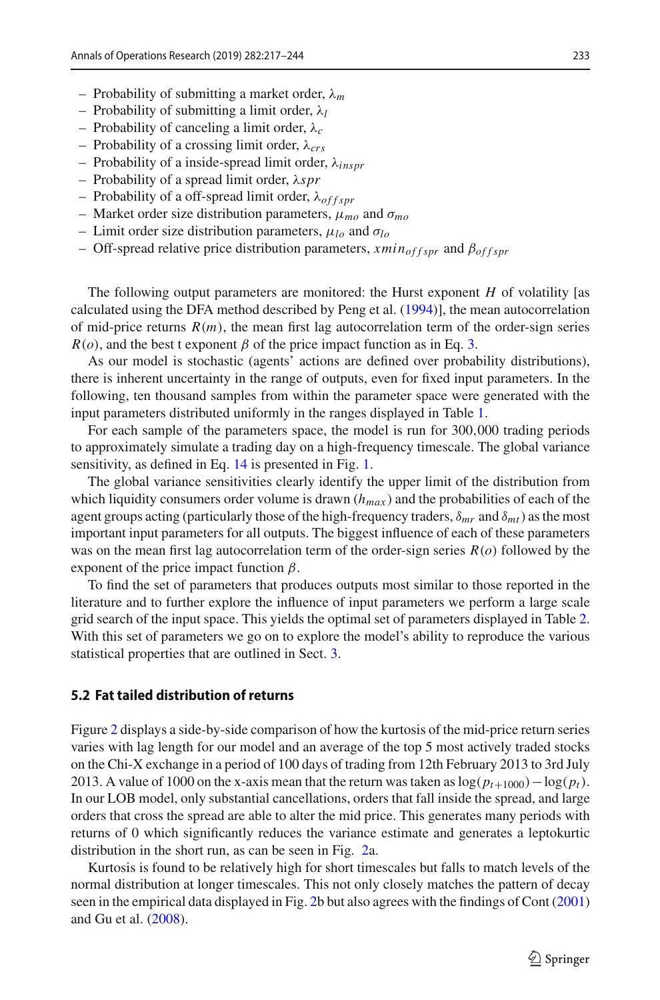- Probability of submitting a market order, λ*m*
- $-$  Probability of submitting a limit order,  $\lambda_l$
- Probability of canceling a limit order, λ*c*
- Probability of a crossing limit order, λ*cr s*
- Probability of a inside-spread limit order, λ*inspr*
- Probability of a spread limit order, λ*spr*
- $-$  Probability of a off-spread limit order,  $\lambda_{offspr}$
- Market order size distribution parameters,  $\mu_{m0}$  and  $\sigma_{m0}$
- Limit order size distribution parameters, μ*lo* and σ*lo*
- Off-spread relative price distribution parameters, *xminof f spr* and β*of f spr*

The following output parameters are monitored: the Hurst exponent *H* of volatility [as calculated using the DFA method described by Peng et al[.](#page-27-24) [\(1994\)](#page-27-24)], the mean autocorrelation of mid-price returns  $R(m)$ , the mean first lag autocorrelation term of the order-sign series  $R$ (*o*), and the best t exponent  $\beta$  of the price impact function as in Eq. [3.](#page-6-0)

As our model is stochastic (agents' actions are defined over probability distributions), there is inherent uncertainty in the range of outputs, even for fixed input parameters. In the following, ten thousand samples from within the parameter space were generated with the input parameters distributed uniformly in the ranges displayed in Table [1.](#page-17-0)

For each sample of the parameters space, the model is run for 300,000 trading periods to approximately simulate a trading day on a high-frequency timescale. The global variance sensitivity, as defined in Eq. [14](#page-15-1) is presented in Fig. [1.](#page-18-0)

The global variance sensitivities clearly identify the upper limit of the distribution from which liquidity consumers order volume is drawn  $(h_{max})$  and the probabilities of each of the agent groups acting (particularly those of the high-frequency traders,  $\delta_{mr}$  and  $\delta_{mt}$ ) as the most important input parameters for all outputs. The biggest influence of each of these parameters was on the mean first lag autocorrelation term of the order-sign series *R*(*o*) followed by the exponent of the price impact function  $\beta$ .

To find the set of parameters that produces outputs most similar to those reported in the literature and to further explore the influence of input parameters we perform a large scale grid search of the input space. This yields the optimal set of parameters displayed in Table [2.](#page-19-0) With this set of parameters we go on to explore the model's ability to reproduce the various statistical properties that are outlined in Sect. [3.](#page-3-0)

#### **5.2 Fat tailed distribution of returns**

Figure [2](#page-20-0) displays a side-by-side comparison of how the kurtosis of the mid-price return series varies with lag length for our model and an average of the top 5 most actively traded stocks on the Chi-X exchange in a period of 100 days of trading from 12th February 2013 to 3rd July 2013. A value of 1000 on the x-axis mean that the return was taken as  $\log(p_{t+1000})-\log(p_t)$ . In our LOB model, only substantial cancellations, orders that fall inside the spread, and large orders that cross the spread are able to alter the mid price. This generates many periods with returns of 0 which significantly reduces the variance estimate and generates a leptokurtic distribution in the short run, as can be seen in Fig. [2a](#page-20-0).

Kurtosis is found to be relatively high for short timescales but falls to match levels of the normal distribution at longer timescales. This not only closely matches the pattern of decay seen in the empirical data displayed in Fig. [2b](#page-20-0) but also agrees with the findings of Con[t](#page-25-2) [\(2001\)](#page-25-2) and Gu et al[.](#page-26-6) [\(2008](#page-26-6)).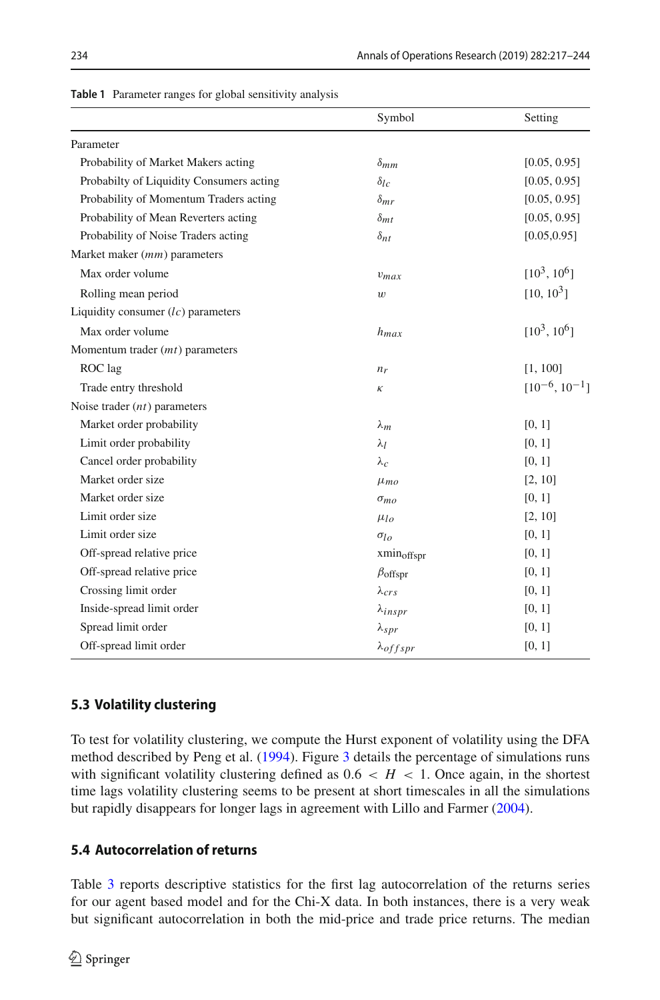|                                          | Symbol                  | Setting              |
|------------------------------------------|-------------------------|----------------------|
| Parameter                                |                         |                      |
| Probability of Market Makers acting      | $\delta_{mm}$           | [0.05, 0.95]         |
| Probabilty of Liquidity Consumers acting | $\delta_{lc}$           | [0.05, 0.95]         |
| Probability of Momentum Traders acting   | $\delta_{mr}$           | [0.05, 0.95]         |
| Probability of Mean Reverters acting     | $\delta_{mt}$           | [0.05, 0.95]         |
| Probability of Noise Traders acting      | $\delta_{nt}$           | [0.05, 0.95]         |
| Market maker (mm) parameters             |                         |                      |
| Max order volume                         | $v_{max}$               | $[10^3, 10^6]$       |
| Rolling mean period                      | $\boldsymbol{w}$        | $[10, 10^3]$         |
| Liquidity consumer $(lc)$ parameters     |                         |                      |
| Max order volume                         | $h_{max}$               | $[10^3, 10^6]$       |
| Momentum trader $(mt)$ parameters        |                         |                      |
| ROC lag                                  | $n_r$                   | [1, 100]             |
| Trade entry threshold                    | К                       | $[10^{-6}, 10^{-1}]$ |
| Noise trader $(nt)$ parameters           |                         |                      |
| Market order probability                 | $\lambda_m$             | [0, 1]               |
| Limit order probability                  | $\lambda_l$             | [0, 1]               |
| Cancel order probability                 | $\lambda_c$             | [0, 1]               |
| Market order size                        | $\mu_{mo}$              | [2, 10]              |
| Market order size                        | $\sigma_{m}$            | [0, 1]               |
| Limit order size                         | $\mu_{lo}$              | [2, 10]              |
| Limit order size                         | $\sigma_{lo}$           | [0, 1]               |
| Off-spread relative price                | $xmin_{offspr}$         | [0, 1]               |
| Off-spread relative price                | $\beta_{\text{offspr}}$ | [0, 1]               |
| Crossing limit order                     | $\lambda_{crs}$         | [0, 1]               |
| Inside-spread limit order                | $\lambda_{inspr}$       | [0, 1]               |
| Spread limit order                       | $\lambda_{spr}$         | [0, 1]               |
| Off-spread limit order                   | $\lambda_{offspr}$      | [0, 1]               |

<span id="page-17-0"></span>**Table 1** Parameter ranges for global sensitivity analysis

# **5.3 Volatility clustering**

To test for volatility clustering, we compute the Hurst exponent of volatility using the DFA method described by Peng et al[.](#page-27-24) [\(1994](#page-27-24)). Figure [3](#page-20-1) details the percentage of simulations runs with significant volatility clustering defined as  $0.6 < H < 1$ . Once again, in the shortest time lags volatility clustering seems to be present at short timescales in all the simulations but rapidly disappears for longer lags in agreement with Lillo and Farme[r](#page-27-7) [\(2004\)](#page-27-7).

# **5.4 Autocorrelation of returns**

Table [3](#page-21-0) reports descriptive statistics for the first lag autocorrelation of the returns series for our agent based model and for the Chi-X data. In both instances, there is a very weak but significant autocorrelation in both the mid-price and trade price returns. The median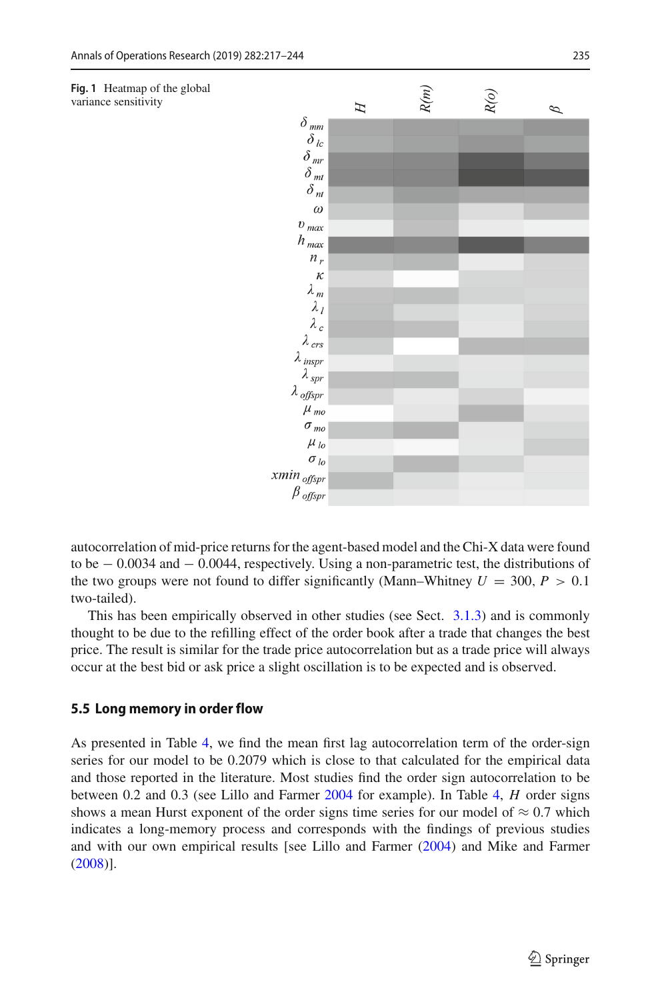<span id="page-18-0"></span>**Fig. 1** Heatmap of the global variance sensitivity



autocorrelation of mid-price returns for the agent-based model and the Chi-X data were found to be − 0.0034 and − 0.0044, respectively. Using a non-parametric test, the distributions of the two groups were not found to differ significantly (Mann–Whitney  $U = 300, P > 0.1$ two-tailed).

This has been empirically observed in other studies (see Sect. [3.1.3\)](#page-4-1) and is commonly thought to be due to the refilling effect of the order book after a trade that changes the best price. The result is similar for the trade price autocorrelation but as a trade price will always occur at the best bid or ask price a slight oscillation is to be expected and is observed.

#### **5.5 Long memory in order flow**

As presented in Table [4,](#page-21-1) we find the mean first lag autocorrelation term of the order-sign series for our model to be 0.2079 which is close to that calculated for the empirical data and those reported in the literature. Most studies find the order sign autocorrelation to be between 0.2 and 0.3 (see Lillo and Farme[r](#page-27-7) [2004](#page-27-7) for example). In Table [4,](#page-21-1) *H* order signs shows a mean Hurst exponent of the order signs time series for our model of  $\approx 0.7$  which indicates a long-memory process and corresponds with the findings of previous studies and with our own empirical results [see Lillo and Farme[r](#page-27-7) [\(2004\)](#page-27-7) and Mike and Farme[r](#page-27-25) [\(2008](#page-27-25))].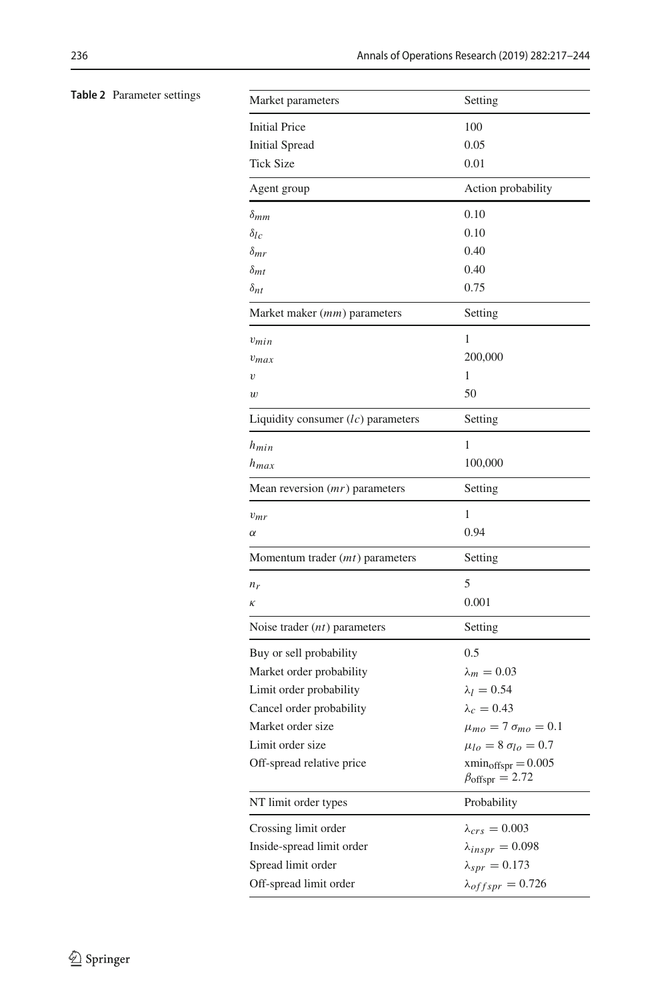| Market parameters                     | Setting                                                                    |
|---------------------------------------|----------------------------------------------------------------------------|
| <b>Initial Price</b>                  | 100                                                                        |
| Initial Spread                        | 0.05                                                                       |
| <b>Tick Size</b>                      | 0.01                                                                       |
| Agent group                           | Action probability                                                         |
| $\delta_{mm}$                         | 0.10                                                                       |
| $\delta_{lc}$                         | 0.10                                                                       |
| $\delta_{mr}$                         | 0.40                                                                       |
| $\delta_{mt}$                         | 0.40                                                                       |
| $\delta_{nt}$                         | 0.75                                                                       |
| Market maker ( <i>mm</i> ) parameters | Setting                                                                    |
| $v_{min}$                             | 1                                                                          |
| $v_{max}$                             | 200,000                                                                    |
| $\upsilon$                            | 1                                                                          |
| $\boldsymbol{w}$                      | 50                                                                         |
| Liquidity consumer $(lc)$ parameters  | Setting                                                                    |
| $h_{min}$                             | 1                                                                          |
| $h_{max}$                             | 100,000                                                                    |
| Mean reversion $(mr)$ parameters      | Setting                                                                    |
| $v_{mr}$                              | 1                                                                          |
| $\alpha$                              | 0.94                                                                       |
| Momentum trader $(mt)$ parameters     | Setting                                                                    |
| $n_r$                                 | 5                                                                          |
| К                                     | 0.001                                                                      |
| Noise trader $(nt)$ parameters        | Setting                                                                    |
| Buy or sell probability               | 0.5                                                                        |
| Market order probability              | $\lambda_m=0.03$                                                           |
| Limit order probability               | $\lambda_l = 0.54$                                                         |
| Cancel order probability              | $\lambda_c=0.43$                                                           |
| Market order size                     | $\mu_{mo} = 7 \sigma_{mo} = 0.1$                                           |
| Limit order size                      | $\mu_{lo} = 8 \sigma_{lo} = 0.7$                                           |
| Off-spread relative price             | $x_{\text{min}_{\text{offspr}}} = 0.005$<br>$\beta_{\text{offspr}} = 2.72$ |
| NT limit order types                  | Probability                                                                |
| Crossing limit order                  | $\lambda_{crs} = 0.003$                                                    |
| Inside-spread limit order             | $\lambda_{inspr} = 0.098$                                                  |
| Spread limit order                    | $\lambda_{spr} = 0.173$                                                    |
| Off-spread limit order                | $\lambda_{offspr} = 0.726$                                                 |

# <span id="page-19-0"></span>**Table 2** Parameter settings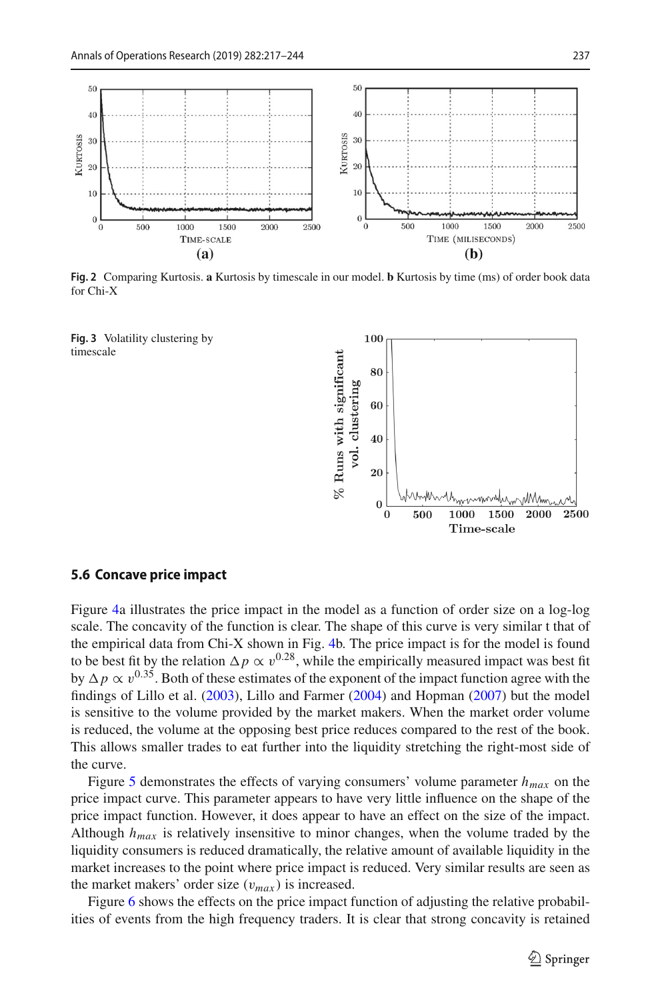

<span id="page-20-0"></span>**Fig. 2** Comparing Kurtosis. **a** Kurtosis by timescale in our model. **b** Kurtosis by time (ms) of order book data for Chi-X

<span id="page-20-1"></span>



#### **5.6 Concave price impact**

Figure [4a](#page-21-2) illustrates the price impact in the model as a function of order size on a log-log scale. The concavity of the function is clear. The shape of this curve is very similar t that of the empirical data from Chi-X shown in Fig. [4b](#page-21-2). The price impact is for the model is found to be best fit by the relation  $\Delta p \propto v^{0.28}$ , while the empirically measured impact was best fit by  $\Delta p \propto v^{0.35}$ . Both of these estimates of the exponent of the impact function agree with the findings of Lillo et al[.](#page-27-8) [\(2003](#page-27-8)), Lillo and Farme[r](#page-27-7) [\(2004](#page-27-7)) and Hopma[n](#page-26-12) [\(2007](#page-26-12)) but the model is sensitive to the volume provided by the market makers. When the market order volume is reduced, the volume at the opposing best price reduces compared to the rest of the book. This allows smaller trades to eat further into the liquidity stretching the right-most side of the curve.

Figure [5](#page-22-0) demonstrates the effects of varying consumers' volume parameter  $h_{max}$  on the price impact curve. This parameter appears to have very little influence on the shape of the price impact function. However, it does appear to have an effect on the size of the impact. Although  $h_{max}$  is relatively insensitive to minor changes, when the volume traded by the liquidity consumers is reduced dramatically, the relative amount of available liquidity in the market increases to the point where price impact is reduced. Very similar results are seen as the market makers' order size  $(v_{max})$  is increased.

Figure [6](#page-22-1) shows the effects on the price impact function of adjusting the relative probabilities of events from the high frequency traders. It is clear that strong concavity is retained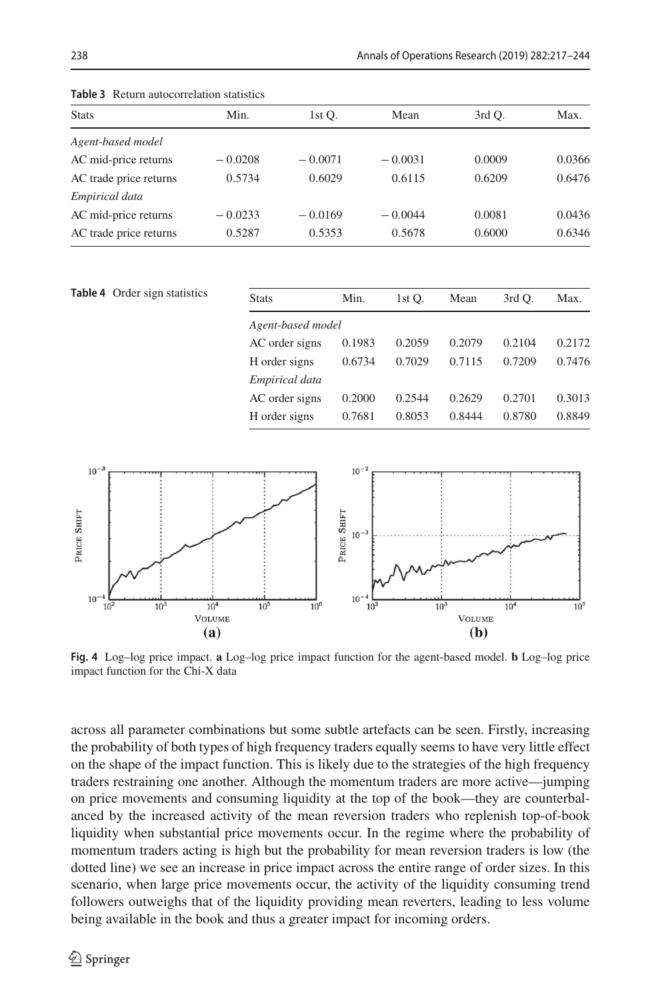| <b>Stats</b>           | Min.      | 1st O.    | Mean      | 3rd O. | Max.   |  |  |
|------------------------|-----------|-----------|-----------|--------|--------|--|--|
| Agent-based model      |           |           |           |        |        |  |  |
| AC mid-price returns   | $-0.0208$ | $-0.0071$ | $-0.0031$ | 0.0009 | 0.0366 |  |  |
| AC trade price returns | 0.5734    | 0.6029    | 0.6115    | 0.6209 | 0.6476 |  |  |
| Empirical data         |           |           |           |        |        |  |  |
| AC mid-price returns   | $-0.0233$ | $-0.0169$ | $-0.0044$ | 0.0081 | 0.0436 |  |  |
| AC trade price returns | 0.5287    | 0.5353    | 0.5678    | 0.6000 | 0.6346 |  |  |

<span id="page-21-0"></span>

|  |  | <b>Table 3</b> Return autocorrelation statistics |  |
|--|--|--------------------------------------------------|--|
|--|--|--------------------------------------------------|--|

<span id="page-21-1"></span>

| <b>Table 4</b> Order sign statistics | <b>Stats</b>      | Min.   | 1st O. | Mean   | $3rdO$ . | Max.   |
|--------------------------------------|-------------------|--------|--------|--------|----------|--------|
|                                      | Agent-based model |        |        |        |          |        |
|                                      | AC order signs    | 0.1983 | 0.2059 | 0.2079 | 0.2104   | 0.2172 |
|                                      | H order signs     | 0.6734 | 0.7029 | 0.7115 | 0.7209   | 0.7476 |
|                                      | Empirical data    |        |        |        |          |        |
|                                      | AC order signs    | 0.2000 | 0.2544 | 0.2629 | 0.2701   | 0.3013 |
|                                      | H order signs     | 0.7681 | 0.8053 | 0.8444 | 0.8780   | 0.8849 |
|                                      |                   |        |        |        |          |        |



<span id="page-21-2"></span>**Fig. 4** Log–log price impact. **a** Log–log price impact function for the agent-based model. **b** Log–log price impact function for the Chi-X data

across all parameter combinations but some subtle artefacts can be seen. Firstly, increasing the probability of both types of high frequency traders equally seems to have very little effect on the shape of the impact function. This is likely due to the strategies of the high frequency traders restraining one another. Although the momentum traders are more active—jumping on price movements and consuming liquidity at the top of the book—they are counterbalanced by the increased activity of the mean reversion traders who replenish top-of-book liquidity when substantial price movements occur. In the regime where the probability of momentum traders acting is high but the probability for mean reversion traders is low (the dotted line) we see an increase in price impact across the entire range of order sizes. In this scenario, when large price movements occur, the activity of the liquidity consuming trend followers outweighs that of the liquidity providing mean reverters, leading to less volume being available in the book and thus a greater impact for incoming orders.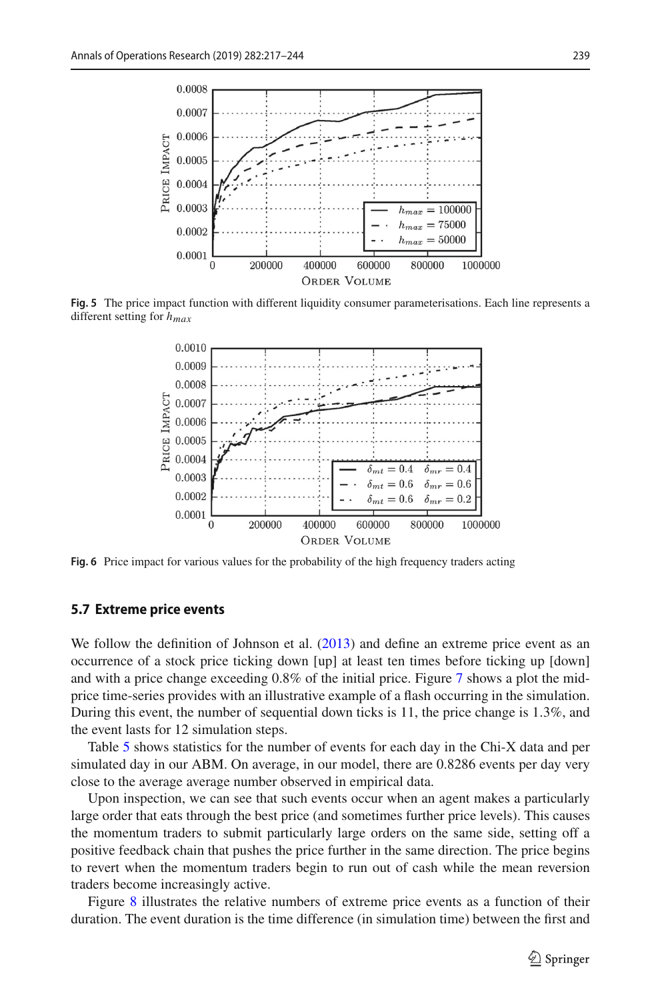

<span id="page-22-0"></span>**Fig. 5** The price impact function with different liquidity consumer parameterisations. Each line represents a different setting for *hmax*



<span id="page-22-1"></span>**Fig. 6** Price impact for various values for the probability of the high frequency traders acting

#### **5.7 Extreme price events**

We follow the definition of Johnson et al[.](#page-26-0) [\(2013](#page-26-0)) and define an extreme price event as an occurrence of a stock price ticking down [up] at least ten times before ticking up [down] and with a price change exceeding 0.8% of the initial price. Figure [7](#page-23-0) shows a plot the midprice time-series provides with an illustrative example of a flash occurring in the simulation. During this event, the number of sequential down ticks is 11, the price change is 1.3%, and the event lasts for 12 simulation steps.

Table [5](#page-23-1) shows statistics for the number of events for each day in the Chi-X data and per simulated day in our ABM. On average, in our model, there are 0.8286 events per day very close to the average average number observed in empirical data.

Upon inspection, we can see that such events occur when an agent makes a particularly large order that eats through the best price (and sometimes further price levels). This causes the momentum traders to submit particularly large orders on the same side, setting off a positive feedback chain that pushes the price further in the same direction. The price begins to revert when the momentum traders begin to run out of cash while the mean reversion traders become increasingly active.

Figure [8](#page-23-2) illustrates the relative numbers of extreme price events as a function of their duration. The event duration is the time difference (in simulation time) between the first and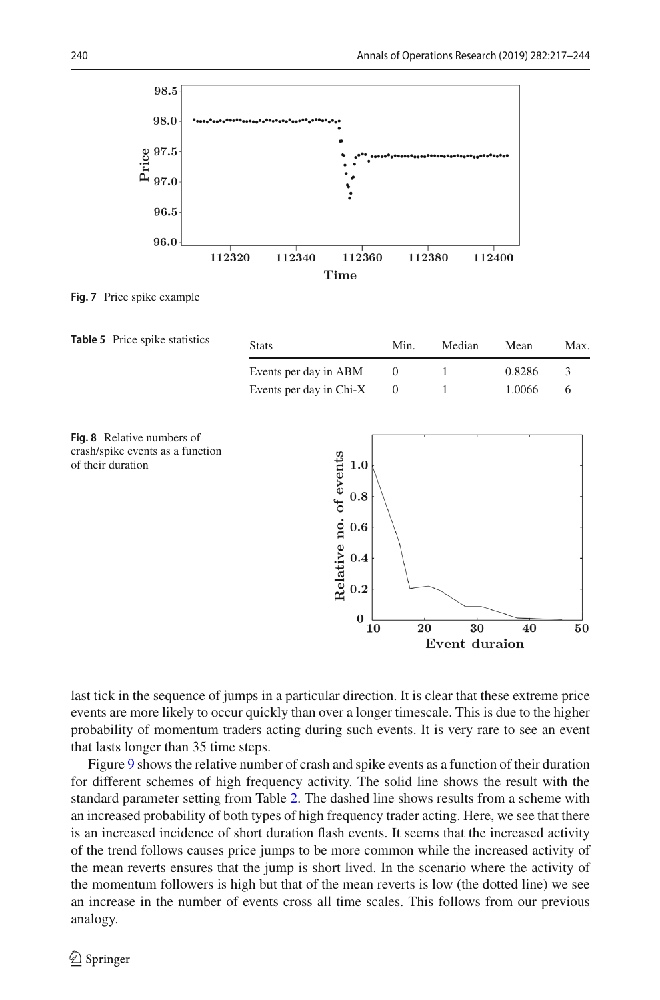

<span id="page-23-0"></span>

<span id="page-23-1"></span>

| <b>Table 5</b> Price spike statistics | <b>Stats</b>            | Min. | Median | Mean   | Max. |
|---------------------------------------|-------------------------|------|--------|--------|------|
|                                       | Events per day in ABM   |      |        | 0.8286 |      |
|                                       | Events per day in Chi-X |      |        | 1.0066 |      |

<span id="page-23-2"></span>**Fig. 8** Relative numbers of crash/spike events as a function of their duration



last tick in the sequence of jumps in a particular direction. It is clear that these extreme price events are more likely to occur quickly than over a longer timescale. This is due to the higher probability of momentum traders acting during such events. It is very rare to see an event that lasts longer than 35 time steps.

Figure [9](#page-24-1) shows the relative number of crash and spike events as a function of their duration for different schemes of high frequency activity. The solid line shows the result with the standard parameter setting from Table [2.](#page-19-0) The dashed line shows results from a scheme with an increased probability of both types of high frequency trader acting. Here, we see that there is an increased incidence of short duration flash events. It seems that the increased activity of the trend follows causes price jumps to be more common while the increased activity of the mean reverts ensures that the jump is short lived. In the scenario where the activity of the momentum followers is high but that of the mean reverts is low (the dotted line) we see an increase in the number of events cross all time scales. This follows from our previous analogy.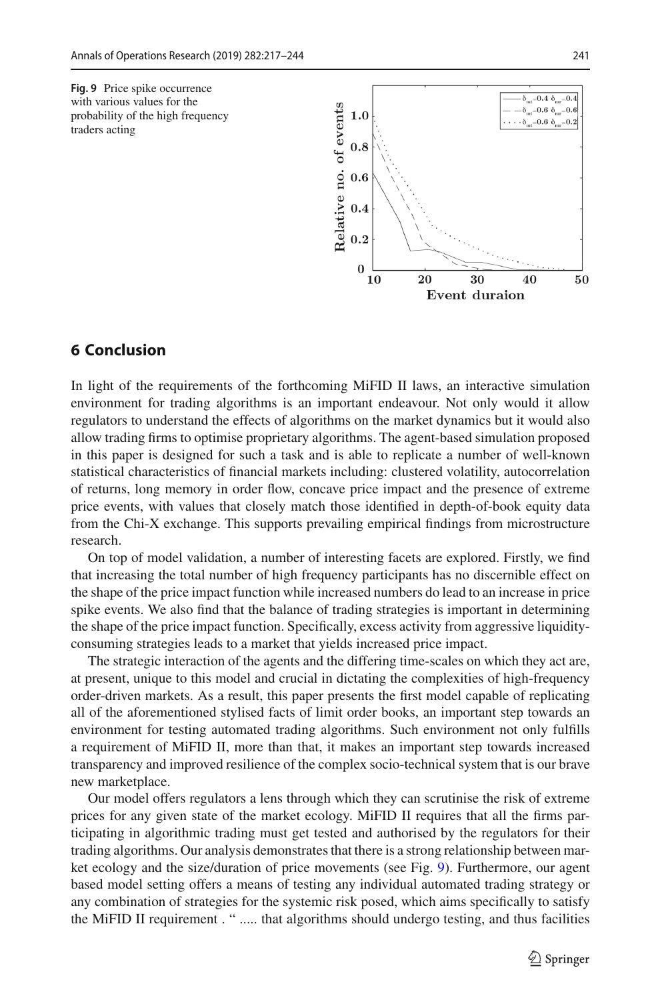<span id="page-24-1"></span>

# <span id="page-24-0"></span>**6 Conclusion**

In light of the requirements of the forthcoming MiFID II laws, an interactive simulation environment for trading algorithms is an important endeavour. Not only would it allow regulators to understand the effects of algorithms on the market dynamics but it would also allow trading firms to optimise proprietary algorithms. The agent-based simulation proposed in this paper is designed for such a task and is able to replicate a number of well-known statistical characteristics of financial markets including: clustered volatility, autocorrelation of returns, long memory in order flow, concave price impact and the presence of extreme price events, with values that closely match those identified in depth-of-book equity data from the Chi-X exchange. This supports prevailing empirical findings from microstructure research.

On top of model validation, a number of interesting facets are explored. Firstly, we find that increasing the total number of high frequency participants has no discernible effect on the shape of the price impact function while increased numbers do lead to an increase in price spike events. We also find that the balance of trading strategies is important in determining the shape of the price impact function. Specifically, excess activity from aggressive liquidityconsuming strategies leads to a market that yields increased price impact.

The strategic interaction of the agents and the differing time-scales on which they act are, at present, unique to this model and crucial in dictating the complexities of high-frequency order-driven markets. As a result, this paper presents the first model capable of replicating all of the aforementioned stylised facts of limit order books, an important step towards an environment for testing automated trading algorithms. Such environment not only fulfills a requirement of MiFID II, more than that, it makes an important step towards increased transparency and improved resilience of the complex socio-technical system that is our brave new marketplace.

Our model offers regulators a lens through which they can scrutinise the risk of extreme prices for any given state of the market ecology. MiFID II requires that all the firms participating in algorithmic trading must get tested and authorised by the regulators for their trading algorithms. Our analysis demonstrates that there is a strong relationship between market ecology and the size/duration of price movements (see Fig. [9\)](#page-24-1). Furthermore, our agent based model setting offers a means of testing any individual automated trading strategy or any combination of strategies for the systemic risk posed, which aims specifically to satisfy the MiFID II requirement . " ..... that algorithms should undergo testing, and thus facilities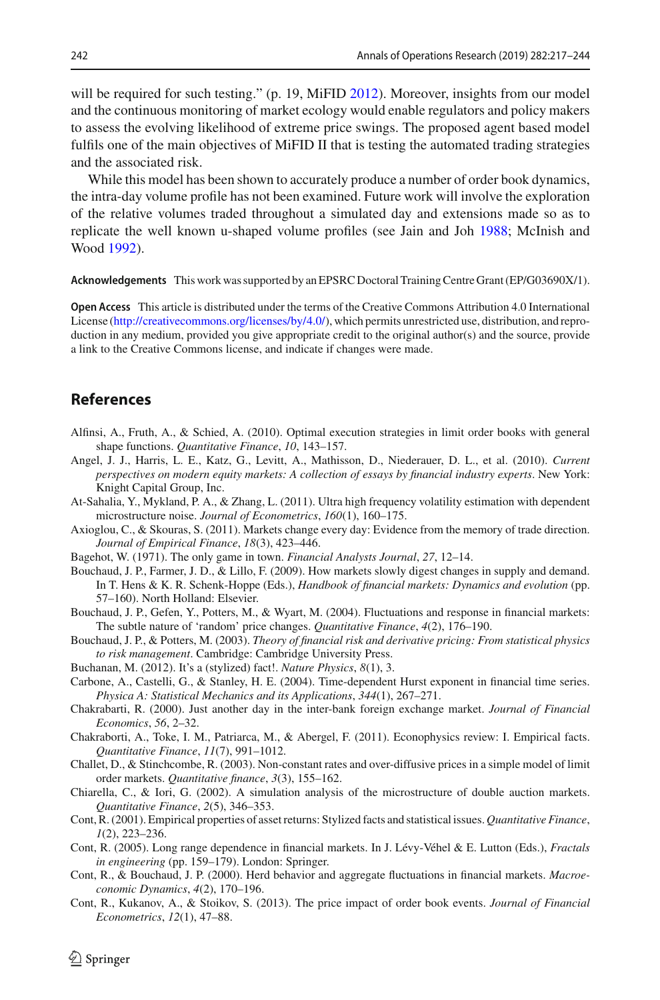will be required for such testing." (p. 19, MiFI[D](#page-27-26) [2012](#page-27-26)). Moreover, insights from our model and the continuous monitoring of market ecology would enable regulators and policy makers to assess the evolving likelihood of extreme price swings. The proposed agent based model fulfils one of the main objectives of MiFID II that is testing the automated trading strategies and the associated risk.

While this model has been shown to accurately produce a number of order book dynamics, the intra-day volume profile has not been examined. Future work will involve the exploration of the relative volumes traded throughout a simulated day and extensions made so as to replicate the well known u-shaped volume profiles (see Jain and Jo[h](#page-26-28) [1988](#page-26-28); McInish and Woo[d](#page-27-27) [1992\)](#page-27-27).

**Acknowledgements** This work was supported by an EPSRC Doctoral Training Centre Grant (EP/G03690X/1).

**Open Access** This article is distributed under the terms of the Creative Commons Attribution 4.0 International License [\(http://creativecommons.org/licenses/by/4.0/\)](http://creativecommons.org/licenses/by/4.0/), which permits unrestricted use, distribution, and reproduction in any medium, provided you give appropriate credit to the original author(s) and the source, provide a link to the Creative Commons license, and indicate if changes were made.

# **References**

- <span id="page-25-12"></span>Alfinsi, A., Fruth, A., & Schied, A. (2010). Optimal execution strategies in limit order books with general shape functions. *Quantitative Finance*, *10*, 143–157.
- <span id="page-25-0"></span>Angel, J. J., Harris, L. E., Katz, G., Levitt, A., Mathisson, D., Niederauer, D. L., et al. (2010). *Current perspectives on modern equity markets: A collection of essays by financial industry experts*. New York: Knight Capital Group, Inc.
- <span id="page-25-6"></span>At-Sahalia, Y., Mykland, P. A., & Zhang, L. (2011). Ultra high frequency volatility estimation with dependent microstructure noise. *Journal of Econometrics*, *160*(1), 160–175.
- <span id="page-25-9"></span>Axioglou, C., & Skouras, S. (2011). Markets change every day: Evidence from the memory of trade direction. *Journal of Empirical Finance*, *18*(3), 423–446.
- <span id="page-25-17"></span>Bagehot, W. (1971). The only game in town. *Financial Analysts Journal*, *27*, 12–14.
- <span id="page-25-5"></span>Bouchaud, J. P., Farmer, J. D., & Lillo, F. (2009). How markets slowly digest changes in supply and demand. In T. Hens & K. R. Schenk-Hoppe (Eds.), *Handbook of financial markets: Dynamics and evolution* (pp. 57–160). North Holland: Elsevier.
- <span id="page-25-11"></span>Bouchaud, J. P., Gefen, Y., Potters, M., & Wyart, M. (2004). Fluctuations and response in financial markets: The subtle nature of 'random' price changes. *Quantitative Finance*, *4*(2), 176–190.
- <span id="page-25-7"></span>Bouchaud, J. P., & Potters, M. (2003). *Theory of financial risk and derivative pricing: From statistical physics to risk management*. Cambridge: Cambridge University Press.
- <span id="page-25-1"></span>Buchanan, M. (2012). It's a (stylized) fact!. *Nature Physics*, *8*(1), 3.
- <span id="page-25-10"></span>Carbone, A., Castelli, G., & Stanley, H. E. (2004). Time-dependent Hurst exponent in financial time series. *Physica A: Statistical Mechanics and its Applications*, *344*(1), 267–271.
- <span id="page-25-13"></span>Chakrabarti, R. (2000). Just another day in the inter-bank foreign exchange market. *Journal of Financial Economics*, *56*, 2–32.
- <span id="page-25-3"></span>Chakraborti, A., Toke, I. M., Patriarca, M., & Abergel, F. (2011). Econophysics review: I. Empirical facts. *Quantitative Finance*, *11*(7), 991–1012.
- <span id="page-25-16"></span>Challet, D., & Stinchcombe, R. (2003). Non-constant rates and over-diffusive prices in a simple model of limit order markets. *Quantitative finance*, *3*(3), 155–162.
- <span id="page-25-15"></span>Chiarella, C., & Iori, G. (2002). A simulation analysis of the microstructure of double auction markets. *Quantitative Finance*, *2*(5), 346–353.
- <span id="page-25-2"></span>Cont, R. (2001). Empirical properties of asset returns: Stylized facts and statistical issues. *Quantitative Finance*, *1*(2), 223–236.
- <span id="page-25-4"></span>Cont, R. (2005). Long range dependence in financial markets. In J. Lévy-Véhel & E. Lutton (Eds.), *Fractals in engineering* (pp. 159–179). London: Springer.
- <span id="page-25-14"></span>Cont, R., & Bouchaud, J. P. (2000). Herd behavior and aggregate fluctuations in financial markets. *Macroeconomic Dynamics*, *4*(2), 170–196.
- <span id="page-25-8"></span>Cont, R., Kukanov, A., & Stoikov, S. (2013). The price impact of order book events. *Journal of Financial Econometrics*, *12*(1), 47–88.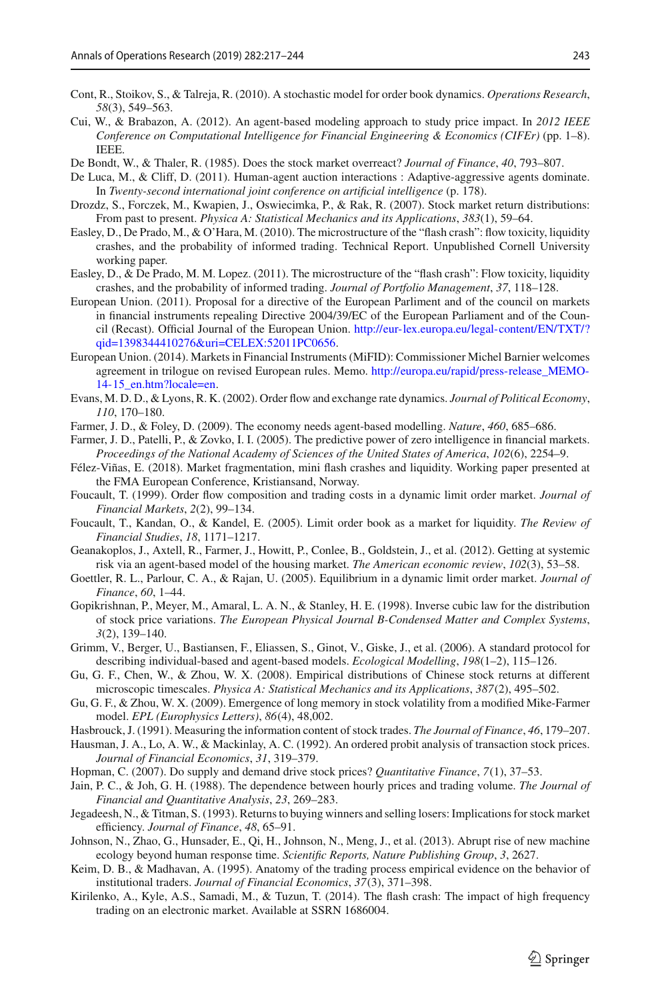- 
- <span id="page-26-16"></span>Cont, R., Stoikov, S., & Talreja, R. (2010). A stochastic model for order book dynamics. *Operations Research*, *58*(3), 549–563.
- <span id="page-26-24"></span>Cui, W., & Brabazon, A. (2012). An agent-based modeling approach to study price impact. In *2012 IEEE Conference on Computational Intelligence for Financial Engineering & Economics (CIFEr)* (pp. 1–8). IEEE.
- <span id="page-26-26"></span>De Bondt, W., & Thaler, R. (1985). Does the stock market overreact? *Journal of Finance*, *40*, 793–807.
- <span id="page-26-19"></span>De Luca, M., & Cliff, D. (2011). Human-agent auction interactions : Adaptive-aggressive agents dominate. In *Twenty-second international joint conference on artificial intelligence* (p. 178).
- <span id="page-26-7"></span>Drozdz, S., Forczek, M., Kwapien, J., Oswiecimka, P., & Rak, R. (2007). Stock market return distributions: From past to present. *Physica A: Statistical Mechanics and its Applications*, *383*(1), 59–64.
- <span id="page-26-3"></span>Easley, D., De Prado, M., & O'Hara, M. (2010). The microstructure of the "flash crash": flow toxicity, liquidity crashes, and the probability of informed trading. Technical Report. Unpublished Cornell University working paper.
- <span id="page-26-2"></span>Easley, D., & De Prado, M. M. Lopez. (2011). The microstructure of the "flash crash": Flow toxicity, liquidity crashes, and the probability of informed trading. *Journal of Portfolio Management*, *37*, 118–128.
- <span id="page-26-4"></span>European Union. (2011). Proposal for a directive of the European Parliment and of the council on markets in financial instruments repealing Directive 2004/39/EC of the European Parliament and of the Council (Recast). Official Journal of the European Union. [http://eur-lex.europa.eu/legal-content/EN/TXT/?](http://eur-lex.europa.eu/legal-content/EN/TXT/?qid=1398344410276&uri=CELEX:52011PC0656) [qid=1398344410276&uri=CELEX:52011PC0656.](http://eur-lex.europa.eu/legal-content/EN/TXT/?qid=1398344410276&uri=CELEX:52011PC0656)
- <span id="page-26-5"></span>European Union. (2014). Markets in Financial Instruments (MiFID): Commissioner Michel Barnier welcomes agreement in trilogue on revised European rules. Memo. [http://europa.eu/rapid/press-release\\_MEMO-](http://europa.eu/rapid/press-release_MEMO-14-15_en.htm?locale=en)[14-15\\_en.htm?locale=en.](http://europa.eu/rapid/press-release_MEMO-14-15_en.htm?locale=en)
- <span id="page-26-27"></span>Evans, M. D. D., & Lyons, R. K. (2002). Order flow and exchange rate dynamics. *Journal of Political Economy*, *110*, 170–180.
- <span id="page-26-15"></span>Farmer, J. D., & Foley, D. (2009). The economy needs agent-based modelling. *Nature*, *460*, 685–686.
- <span id="page-26-17"></span>Farmer, J. D., Patelli, P., & Zovko, I. I. (2005). The predictive power of zero intelligence in financial markets. *Proceedings of the National Academy of Sciences of the United States of America*, *102*(6), 2254–9.
- <span id="page-26-22"></span>Félez-Viñas, E. (2018). Market fragmentation, mini flash crashes and liquidity. Working paper presented at the FMA European Conference, Kristiansand, Norway.
- <span id="page-26-21"></span>Foucault, T. (1999). Order flow composition and trading costs in a dynamic limit order market. *Journal of Financial Markets*, *2*(2), 99–134.
- <span id="page-26-13"></span>Foucault, T., Kandan, O., & Kandel, E. (2005). Limit order book as a market for liquidity. *The Review of Financial Studies*, *18*, 1171–1217.
- <span id="page-26-20"></span>Geanakoplos, J., Axtell, R., Farmer, J., Howitt, P., Conlee, B., Goldstein, J., et al. (2012). Getting at systemic risk via an agent-based model of the housing market. *The American economic review*, *102*(3), 53–58.
- <span id="page-26-14"></span>Goettler, R. L., Parlour, C. A., & Rajan, U. (2005). Equilibrium in a dynamic limit order market. *Journal of Finance*, *60*, 1–44.
- <span id="page-26-8"></span>Gopikrishnan, P., Meyer, M., Amaral, L. A. N., & Stanley, H. E. (1998). Inverse cubic law for the distribution of stock price variations. *The European Physical Journal B-Condensed Matter and Complex Systems*, *3*(2), 139–140.
- <span id="page-26-18"></span>Grimm, V., Berger, U., Bastiansen, F., Eliassen, S., Ginot, V., Giske, J., et al. (2006). A standard protocol for describing individual-based and agent-based models. *Ecological Modelling*, *198*(1–2), 115–126.
- <span id="page-26-6"></span>Gu, G. F., Chen, W., & Zhou, W. X. (2008). Empirical distributions of Chinese stock returns at different microscopic timescales. *Physica A: Statistical Mechanics and its Applications*, *387*(2), 495–502.
- <span id="page-26-9"></span>Gu, G. F., & Zhou, W. X. (2009). Emergence of long memory in stock volatility from a modified Mike-Farmer model. *EPL (Europhysics Letters)*, *86*(4), 48,002.
- <span id="page-26-10"></span>Hasbrouck, J. (1991). Measuring the information content of stock trades. *The Journal of Finance*, *46*, 179–207.
- <span id="page-26-11"></span>Hausman, J. A., Lo, A. W., & Mackinlay, A. C. (1992). An ordered probit analysis of transaction stock prices. *Journal of Financial Economics*, *31*, 319–379.
- <span id="page-26-12"></span>Hopman, C. (2007). Do supply and demand drive stock prices? *Quantitative Finance*, *7*(1), 37–53.
- <span id="page-26-28"></span>Jain, P. C., & Joh, G. H. (1988). The dependence between hourly prices and trading volume. *The Journal of Financial and Quantitative Analysis*, *23*, 269–283.
- <span id="page-26-25"></span>Jegadeesh, N., & Titman, S. (1993). Returns to buying winners and selling losers: Implications for stock market efficiency. *Journal of Finance*, *48*, 65–91.
- <span id="page-26-0"></span>Johnson, N., Zhao, G., Hunsader, E., Qi, H., Johnson, N., Meng, J., et al. (2013). Abrupt rise of new machine ecology beyond human response time. *Scientific Reports, Nature Publishing Group*, *3*, 2627.
- <span id="page-26-23"></span>Keim, D. B., & Madhavan, A. (1995). Anatomy of the trading process empirical evidence on the behavior of institutional traders. *Journal of Financial Economics*, *37*(3), 371–398.
- <span id="page-26-1"></span>Kirilenko, A., Kyle, A.S., Samadi, M., & Tuzun, T. (2014). The flash crash: The impact of high frequency trading on an electronic market. Available at SSRN 1686004.